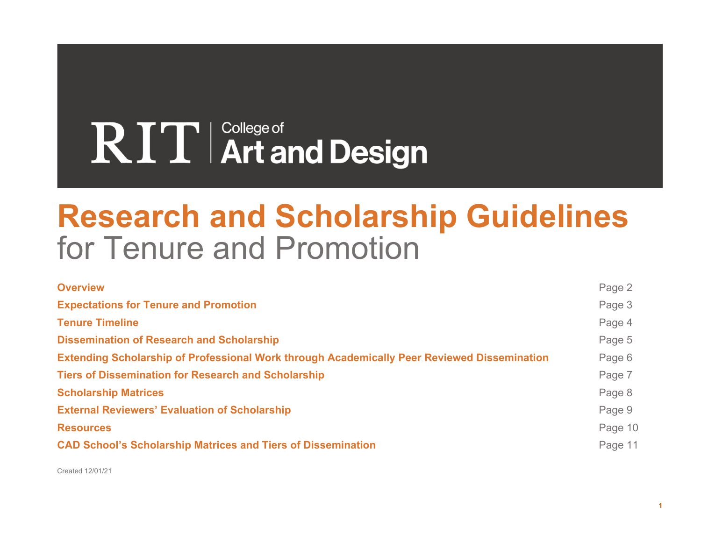# RIT | College of **Art and Design**

# **Research and Scholarship Guidelines** for Tenure and Promotion

| <b>Overview</b>                                                                             | Page 2  |
|---------------------------------------------------------------------------------------------|---------|
| <b>Expectations for Tenure and Promotion</b>                                                | Page 3  |
| <b>Tenure Timeline</b>                                                                      | Page 4  |
| <b>Dissemination of Research and Scholarship</b>                                            | Page 5  |
| Extending Scholarship of Professional Work through Academically Peer Reviewed Dissemination | Page 6  |
| <b>Tiers of Dissemination for Research and Scholarship</b>                                  | Page 7  |
| <b>Scholarship Matrices</b>                                                                 | Page 8  |
| <b>External Reviewers' Evaluation of Scholarship</b>                                        | Page 9  |
| <b>Resources</b>                                                                            | Page 10 |
| <b>CAD School's Scholarship Matrices and Tiers of Dissemination</b>                         | Page 11 |

Created 12/01/21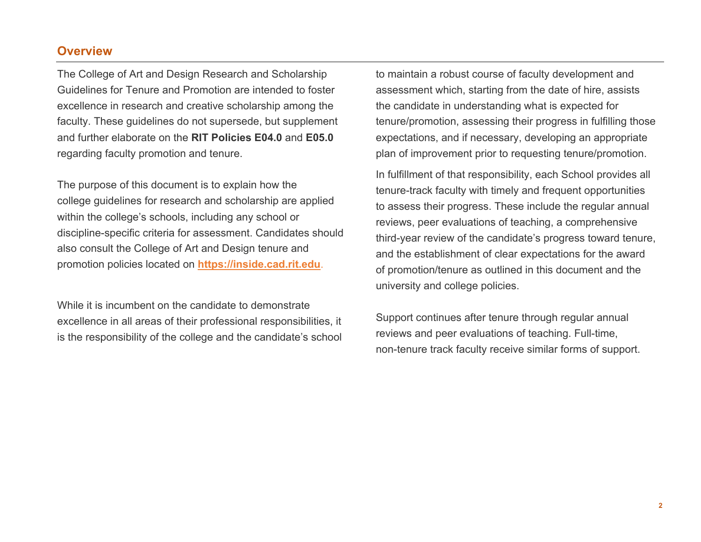#### **Overview**

The College of Art and Design Research and Scholarship Guidelines for Tenure and Promotion are intended to foster excellence in research and creative scholarship among the faculty. These guidelines do not supersede, but supplement and further elaborate on the **RIT Policies E04.0** and **E05.0** regarding faculty promotion and tenure.

The purpose of this document is to explain how the college guidelines for research and scholarship are applied within the college's schools, including any school or discipline-specific criteria for assessment. Candidates should also consult the College of Art and Design tenure and promotion policies located on **https://inside.cad.rit.edu**.

While it is incumbent on the candidate to demonstrate excellence in all areas of their professional responsibilities, it is the responsibility of the college and the candidate's school to maintain a robust course of faculty development and assessment which, starting from the date of hire, assists the candidate in understanding what is expected for tenure/promotion, assessing their progress in fulfilling those expectations, and if necessary, developing an appropriate plan of improvement prior to requesting tenure/promotion.

In fulfillment of that responsibility, each School provides all tenure-track faculty with timely and frequent opportunities to assess their progress. These include the regular annual reviews, peer evaluations of teaching, a comprehensive third-year review of the candidate's progress toward tenure, and the establishment of clear expectations for the award of promotion/tenure as outlined in this document and the university and college policies.

Support continues after tenure through regular annual reviews and peer evaluations of teaching. Full-time, non-tenure track faculty receive similar forms of support.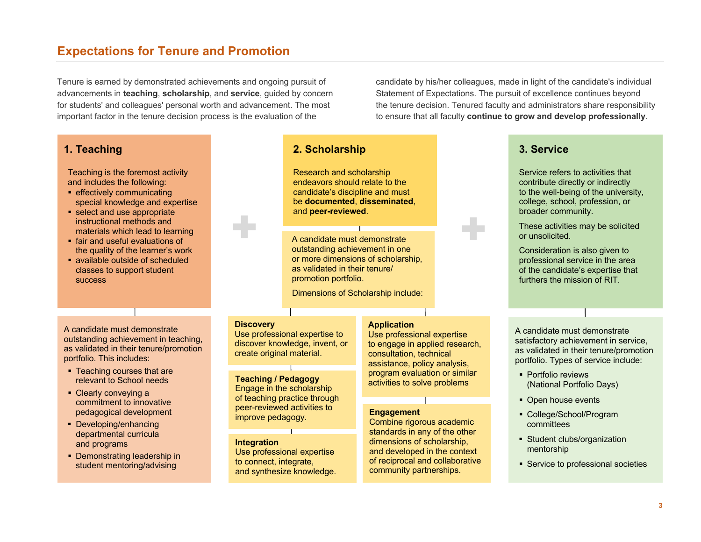# **Expectations for Tenure and Promotion**

Tenure is earned by demonstrated achievements and ongoing pursuit of advancements in **teaching**, **scholarship**, and **service**, guided by concern for students' and colleagues' personal worth and advancement. The most important factor in the tenure decision process is the evaluation of the

**1. Teaching**

Teaching is the foremost activity and includes the following:

- effectively communicating special knowledge and expertise
- select and use appropriate instructional methods and materials which lead to learning
- fair and useful evaluations of the quality of the learner's work
- § available outside of scheduled classes to support student success

A candidate must demonstrate outstanding achievement in teaching, as validated in their tenure/promotion portfolio. This includes:

- Teaching courses that are relevant to School needs
- § Clearly conveying a commitment to innovative pedagogical development
- § Developing/enhancing departmental curricula and programs
- Demonstrating leadership in student mentoring/advising

# Research and scholarship endeavors should relate to the

**2. Scholarship**

candidate's discipline and must be **documented**, **disseminated**, and **peer-reviewed**.

A candidate must demonstrate outstanding achievement in one or more dimensions of scholarship, as validated in their tenure/ promotion portfolio.

Dimensions of Scholarship include:

#### **Discovery**

+

Use professional expertise to discover knowledge, invent, or create original material.

#### **Teaching / Pedagogy** Engage in the scholarship of teaching practice through peer-reviewed activities to improve pedagogy.

**Integration** Use professional expertise to connect, integrate, and synthesize knowledge.

#### **Application**

Use professional expertise to engage in applied research, consultation, technical assistance, policy analysis, program evaluation or similar activities to solve problems

#### **Engagement**

Combine rigorous academic standards in any of the other dimensions of scholarship, and developed in the context of reciprocal and collaborative community partnerships.

candidate by his/her colleagues, made in light of the candidate's individual Statement of Expectations. The pursuit of excellence continues beyond the tenure decision. Tenured faculty and administrators share responsibility to ensure that all faculty **continue to grow and develop professionally**.

+

### **3. Service**

Service refers to activities that contribute directly or indirectly to the well-being of the university, college, school, profession, or broader community.

These activities may be solicited or unsolicited.

Consideration is also given to professional service in the area of the candidate's expertise that furthers the mission of RIT.

A candidate must demonstrate satisfactory achievement in service, as validated in their tenure/promotion portfolio. Types of service include:

- § Portfolio reviews (National Portfolio Days)
- Open house events
- § College/School/Program committees
- § Student clubs/organization mentorship
- Service to professional societies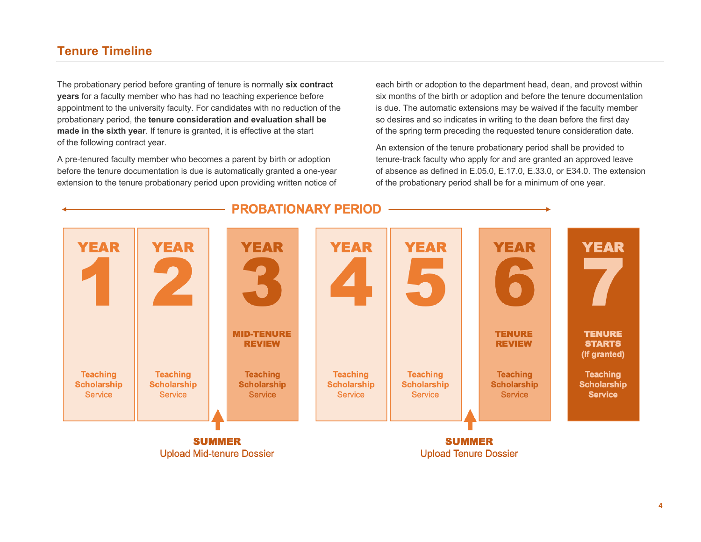# **Tenure Timeline**

The probationary period before granting of tenure is normally **six contract years** for a faculty member who has had no teaching experience before appointment to the university faculty. For candidates with no reduction of the probationary period, the **tenure consideration and evaluation shall be made in the sixth year**. If tenure is granted, it is effective at the start of the following contract year.

A pre-tenured faculty member who becomes a parent by birth or adoption before the tenure documentation is due is automatically granted a one-year extension to the tenure probationary period upon providing written notice of

each birth or adoption to the department head, dean, and provost within six months of the birth or adoption and before the tenure documentation is due. The automatic extensions may be waived if the faculty member so desires and so indicates in writing to the dean before the first day of the spring term preceding the requested tenure consideration date.

An extension of the tenure probationary period shall be provided to tenure-track faculty who apply for and are granted an approved leave of absence as defined in E.05.0, E.17.0, E.33.0, or E34.0. The extension of the probationary period shall be for a minimum of one year.



#### **PROBATIONARY PERIOD**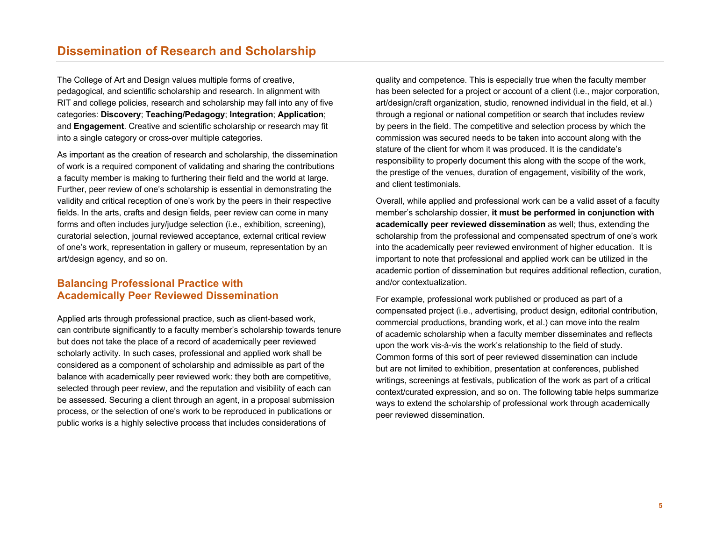The College of Art and Design values multiple forms of creative, pedagogical, and scientific scholarship and research. In alignment with RIT and college policies, research and scholarship may fall into any of five categories: **Discovery**; **Teaching/Pedagogy**; **Integration**; **Application**; and **Engagement**. Creative and scientific scholarship or research may fit into a single category or cross-over multiple categories.

As important as the creation of research and scholarship, the dissemination of work is a required component of validating and sharing the contributions a faculty member is making to furthering their field and the world at large. Further, peer review of one's scholarship is essential in demonstrating the validity and critical reception of one's work by the peers in their respective fields. In the arts, crafts and design fields, peer review can come in many forms and often includes jury/judge selection (i.e., exhibition, screening), curatorial selection, journal reviewed acceptance, external critical review of one's work, representation in gallery or museum, representation by an art/design agency, and so on.

#### **Balancing Professional Practice with Academically Peer Reviewed Dissemination**

Applied arts through professional practice, such as client-based work, can contribute significantly to a faculty member's scholarship towards tenure but does not take the place of a record of academically peer reviewed scholarly activity. In such cases, professional and applied work shall be considered as a component of scholarship and admissible as part of the balance with academically peer reviewed work: they both are competitive, selected through peer review, and the reputation and visibility of each can be assessed. Securing a client through an agent, in a proposal submission process, or the selection of one's work to be reproduced in publications or public works is a highly selective process that includes considerations of

quality and competence. This is especially true when the faculty member has been selected for a project or account of a client (i.e., major corporation, art/design/craft organization, studio, renowned individual in the field, et al.) through a regional or national competition or search that includes review by peers in the field. The competitive and selection process by which the commission was secured needs to be taken into account along with the stature of the client for whom it was produced. It is the candidate's responsibility to properly document this along with the scope of the work, the prestige of the venues, duration of engagement, visibility of the work, and client testimonials.

Overall, while applied and professional work can be a valid asset of a faculty member's scholarship dossier, **it must be performed in conjunction with academically peer reviewed dissemination** as well; thus, extending the scholarship from the professional and compensated spectrum of one's work into the academically peer reviewed environment of higher education. It is important to note that professional and applied work can be utilized in the academic portion of dissemination but requires additional reflection, curation, and/or contextualization.

For example, professional work published or produced as part of a compensated project (i.e., advertising, product design, editorial contribution, commercial productions, branding work, et al.) can move into the realm of academic scholarship when a faculty member disseminates and reflects upon the work vis-à-vis the work's relationship to the field of study. Common forms of this sort of peer reviewed dissemination can include but are not limited to exhibition, presentation at conferences, published writings, screenings at festivals, publication of the work as part of a critical context/curated expression, and so on. The following table helps summarize ways to extend the scholarship of professional work through academically peer reviewed dissemination.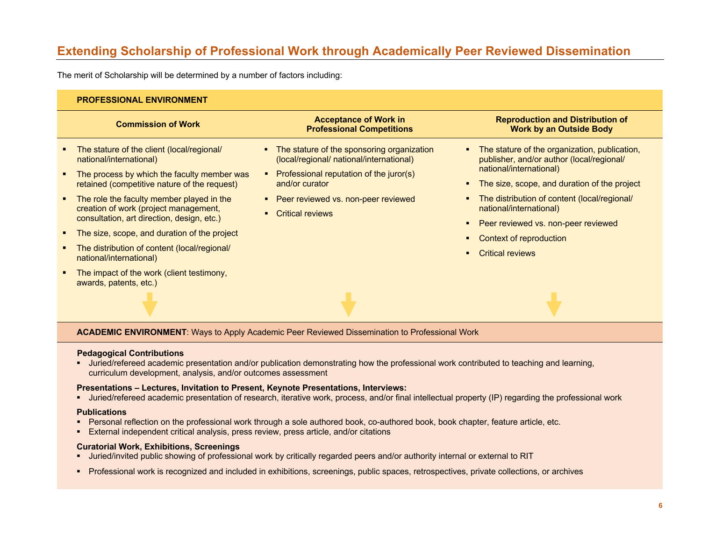# **Extending Scholarship of Professional Work through Academically Peer Reviewed Dissemination**

The merit of Scholarship will be determined by a number of factors including:

#### **PROFESSIONAL ENVIRONMENT**

|                  | <b>Commission of Work</b>                                                                                            | <b>Acceptance of Work in</b><br><b>Professional Competitions</b>                                                                    | <b>Reproduction and Distribution of</b><br><b>Work by an Outside Body</b>                                             |
|------------------|----------------------------------------------------------------------------------------------------------------------|-------------------------------------------------------------------------------------------------------------------------------------|-----------------------------------------------------------------------------------------------------------------------|
|                  | The stature of the client (local/regional/<br>national/international)<br>The process by which the faculty member was | • The stature of the sponsoring organization<br>(local/regional/ national/international)<br>Professional reputation of the juror(s) | The stature of the organization, publication,<br>publisher, and/or author (local/regional/<br>national/international) |
|                  | retained (competitive nature of the request)                                                                         | and/or curator                                                                                                                      | The size, scope, and duration of the project                                                                          |
|                  | • The role the faculty member played in the                                                                          | • Peer reviewed vs. non-peer reviewed                                                                                               | The distribution of content (local/regional/                                                                          |
|                  | creation of work (project management,<br>consultation, art direction, design, etc.)                                  | <b>Critical reviews</b>                                                                                                             | national/international)                                                                                               |
|                  |                                                                                                                      |                                                                                                                                     | Peer reviewed vs. non-peer reviewed                                                                                   |
| $\blacksquare$ . | The size, scope, and duration of the project                                                                         |                                                                                                                                     | Context of reproduction                                                                                               |
|                  | The distribution of content (local/regional/<br>national/international)                                              |                                                                                                                                     | Critical reviews                                                                                                      |
|                  | The impact of the work (client testimony,<br>awards, patents, etc.)                                                  |                                                                                                                                     |                                                                                                                       |
|                  |                                                                                                                      |                                                                                                                                     |                                                                                                                       |

**ACADEMIC ENVIRONMENT**: Ways to Apply Academic Peer Reviewed Dissemination to Professional Work

#### **Pedagogical Contributions**

• Juried/refereed academic presentation and/or publication demonstrating how the professional work contributed to teaching and learning, curriculum development, analysis, and/or outcomes assessment

#### **Presentations – Lectures, Invitation to Present, Keynote Presentations, Interviews:**

• Juried/refereed academic presentation of research, iterative work, process, and/or final intellectual property (IP) regarding the professional work

#### **Publications**

- Personal reflection on the professional work through a sole authored book, co-authored book, book chapter, feature article, etc.
- External independent critical analysis, press review, press article, and/or citations

#### **Curatorial Work, Exhibitions, Screenings**

- Juried/invited public showing of professional work by critically regarded peers and/or authority internal or external to RIT
- § Professional work is recognized and included in exhibitions, screenings, public spaces, retrospectives, private collections, or archives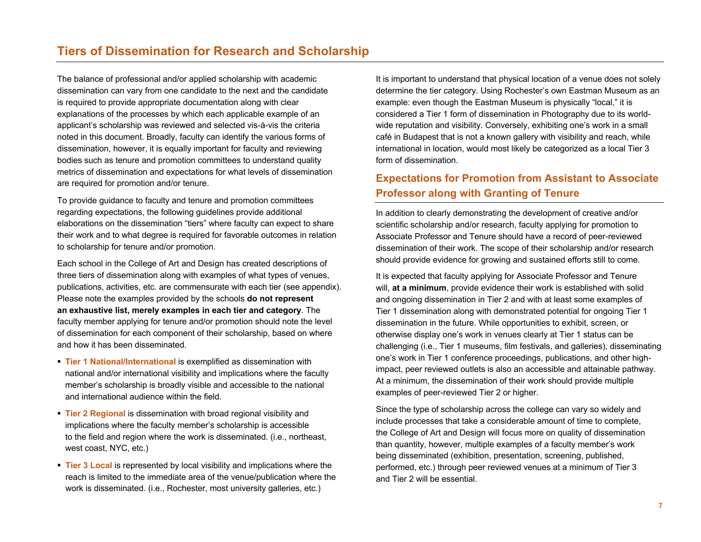The balance of professional and/or applied scholarship with academic dissemination can vary from one candidate to the next and the candidate is required to provide appropriate documentation along with clear explanations of the processes by which each applicable example of an applicant's scholarship was reviewed and selected vis-à-vis the criteria noted in this document. Broadly, faculty can identify the various forms of dissemination, however, it is equally important for faculty and reviewing bodies such as tenure and promotion committees to understand quality metrics of dissemination and expectations for what levels of dissemination are required for promotion and/or tenure.

To provide guidance to faculty and tenure and promotion committees regarding expectations, the following guidelines provide additional elaborations on the dissemination "tiers" where faculty can expect to share their work and to what degree is required for favorable outcomes in relation to scholarship for tenure and/or promotion.

Each school in the College of Art and Design has created descriptions of three tiers of dissemination along with examples of what types of venues, publications, activities, etc. are commensurate with each tier (see appendix). Please note the examples provided by the schools **do not represent an exhaustive list, merely examples in each tier and category**. The faculty member applying for tenure and/or promotion should note the level of dissemination for each component of their scholarship, based on where and how it has been disseminated.

- § **Tier 1 National/International** is exemplified as dissemination with national and/or international visibility and implications where the faculty member's scholarship is broadly visible and accessible to the national and international audience within the field.
- **Tier 2 Regional** is dissemination with broad regional visibility and implications where the faculty member's scholarship is accessible to the field and region where the work is disseminated. (i.e., northeast, west coast, NYC, etc.)
- **Tier 3 Local** is represented by local visibility and implications where the reach is limited to the immediate area of the venue/publication where the work is disseminated. (i.e., Rochester, most university galleries, etc.)

It is important to understand that physical location of a venue does not solely determine the tier category. Using Rochester's own Eastman Museum as an example: even though the Eastman Museum is physically "local," it is considered a Tier 1 form of dissemination in Photography due to its worldwide reputation and visibility. Conversely, exhibiting one's work in a small café in Budapest that is not a known gallery with visibility and reach, while international in location, would most likely be categorized as a local Tier 3 form of dissemination.

### **Expectations for Promotion from Assistant to Associate Professor along with Granting of Tenure**

In addition to clearly demonstrating the development of creative and/or scientific scholarship and/or research, faculty applying for promotion to Associate Professor and Tenure should have a record of peer-reviewed dissemination of their work. The scope of their scholarship and/or research should provide evidence for growing and sustained efforts still to come.

It is expected that faculty applying for Associate Professor and Tenure will, **at a minimum**, provide evidence their work is established with solid and ongoing dissemination in Tier 2 and with at least some examples of Tier 1 dissemination along with demonstrated potential for ongoing Tier 1 dissemination in the future. While opportunities to exhibit, screen, or otherwise display one's work in venues clearly at Tier 1 status can be challenging (i.e., Tier 1 museums, film festivals, and galleries), disseminating one's work in Tier 1 conference proceedings, publications, and other highimpact, peer reviewed outlets is also an accessible and attainable pathway. At a minimum, the dissemination of their work should provide multiple examples of peer-reviewed Tier 2 or higher.

Since the type of scholarship across the college can vary so widely and include processes that take a considerable amount of time to complete, the College of Art and Design will focus more on quality of dissemination than quantity, however, multiple examples of a faculty member's work being disseminated (exhibition, presentation, screening, published, performed, etc.) through peer reviewed venues at a minimum of Tier 3 and Tier 2 will be essential.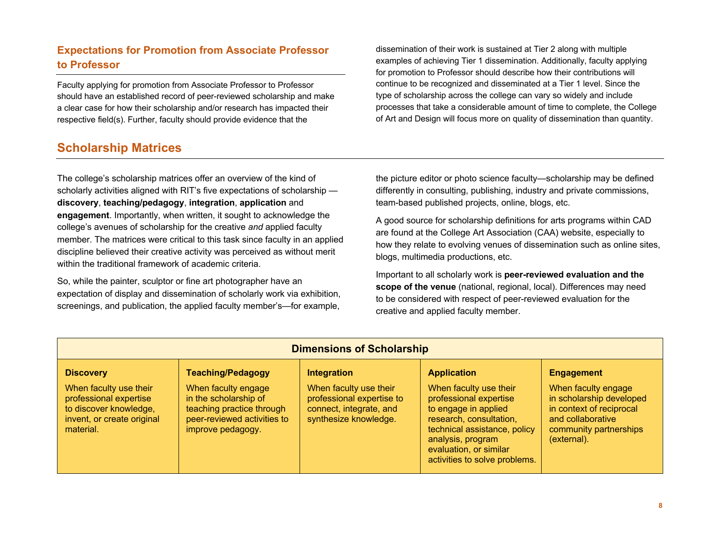## **Expectations for Promotion from Associate Professor to Professor**

Faculty applying for promotion from Associate Professor to Professor should have an established record of peer-reviewed scholarship and make a clear case for how their scholarship and/or research has impacted their respective field(s). Further, faculty should provide evidence that the

# **Scholarship Matrices**

The college's scholarship matrices offer an overview of the kind of scholarly activities aligned with RIT's five expectations of scholarship **discovery**, **teaching/pedagogy**, **integration**, **application** and **engagement**. Importantly, when written, it sought to acknowledge the college's avenues of scholarship for the creative *and* applied faculty member. The matrices were critical to this task since faculty in an applied discipline believed their creative activity was perceived as without merit within the traditional framework of academic criteria.

So, while the painter, sculptor or fine art photographer have an expectation of display and dissemination of scholarly work via exhibition, screenings, and publication, the applied faculty member's—for example,

dissemination of their work is sustained at Tier 2 along with multiple examples of achieving Tier 1 dissemination. Additionally, faculty applying for promotion to Professor should describe how their contributions will continue to be recognized and disseminated at a Tier 1 level. Since the type of scholarship across the college can vary so widely and include processes that take a considerable amount of time to complete, the College of Art and Design will focus more on quality of dissemination than quantity.

the picture editor or photo science faculty—scholarship may be defined differently in consulting, publishing, industry and private commissions, team-based published projects, online, blogs, etc.

A good source for scholarship definitions for arts programs within CAD are found at the College Art Association (CAA) website, especially to how they relate to evolving venues of dissemination such as online sites, blogs, multimedia productions, etc.

Important to all scholarly work is **peer-reviewed evaluation and the scope of the venue** (national, regional, local). Differences may need to be considered with respect of peer-reviewed evaluation for the creative and applied faculty member.

| <b>Dimensions of Scholarship</b>                                                            |                                                                                                        |                                                                               |                                                                                                                                                                                           |                                                                                                                    |  |  |
|---------------------------------------------------------------------------------------------|--------------------------------------------------------------------------------------------------------|-------------------------------------------------------------------------------|-------------------------------------------------------------------------------------------------------------------------------------------------------------------------------------------|--------------------------------------------------------------------------------------------------------------------|--|--|
| <b>Discovery</b><br>When faculty use their                                                  | <b>Teaching/Pedagogy</b><br>When faculty engage                                                        | Integration<br>When faculty use their                                         | <b>Application</b><br>When faculty use their                                                                                                                                              | <b>Engagement</b><br>When faculty engage                                                                           |  |  |
| professional expertise<br>to discover knowledge,<br>invent, or create original<br>material. | in the scholarship of<br>teaching practice through<br>peer-reviewed activities to<br>improve pedagogy. | professional expertise to<br>connect, integrate, and<br>synthesize knowledge. | professional expertise<br>to engage in applied<br>research, consultation,<br>technical assistance, policy<br>analysis, program<br>evaluation, or similar<br>activities to solve problems. | in scholarship developed<br>in context of reciprocal<br>and collaborative<br>community partnerships<br>(external). |  |  |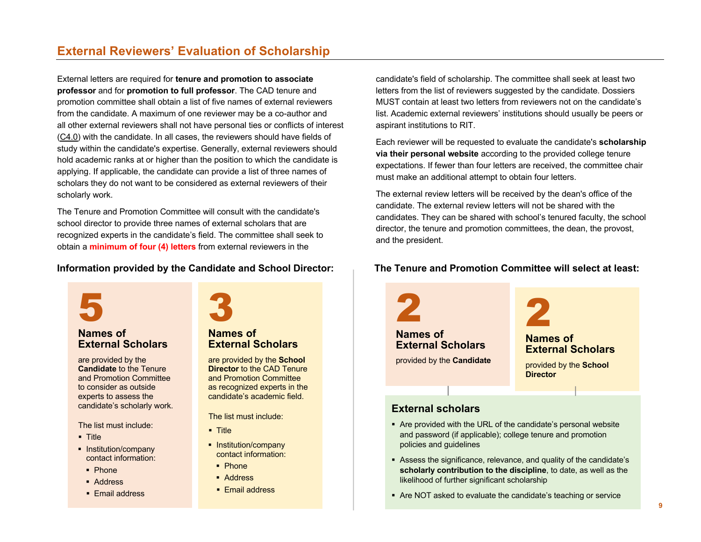# **External Reviewers' Evaluation of Scholarship**

External letters are required for **tenure and promotion to associate professor** and for **promotion to full professor**. The CAD tenure and promotion committee shall obtain a list of five names of external reviewers from the candidate. A maximum of one reviewer may be a co-author and all other external reviewers shall not have personal ties or conflicts of interest (C4.0) with the candidate. In all cases, the reviewers should have fields of study within the candidate's expertise. Generally, external reviewers should hold academic ranks at or higher than the position to which the candidate is applying. If applicable, the candidate can provide a list of three names of scholars they do not want to be considered as external reviewers of their scholarly work.

The Tenure and Promotion Committee will consult with the candidate's school director to provide three names of external scholars that are recognized experts in the candidate's field. The committee shall seek to obtain a **minimum of four (4) letters** from external reviewers in the

#### **Information provided by the Candidate and School Director:**



#### **Names of External Scholars**

are provided by the **Candidate** to the Tenure and Promotion Committee to consider as outside experts to assess the candidate's scholarly work.

The list must include:

- § Title
- Institution/company contact information:
- § Phone
- Address
- Email address

3

#### **Names of External Scholars**

are provided by the **School Director** to the CAD Tenure and Promotion Committee as recognized experts in the candidate's academic field.

The list must include:

- § Title
- Institution/company contact information:
- § Phone
- § Address
- Email address

candidate's field of scholarship. The committee shall seek at least two letters from the list of reviewers suggested by the candidate. Dossiers MUST contain at least two letters from reviewers not on the candidate's list. Academic external reviewers' institutions should usually be peers or aspirant institutions to RIT.

Each reviewer will be requested to evaluate the candidate's **scholarship via their personal website** according to the provided college tenure expectations. If fewer than four letters are received, the committee chair must make an additional attempt to obtain four letters.

The external review letters will be received by the dean's office of the candidate. The external review letters will not be shared with the candidates. They can be shared with school's tenured faculty, the school director, the tenure and promotion committees, the dean, the provost, and the president.

#### **The Tenure and Promotion Committee will select at least:**



- § Assess the significance, relevance, and quality of the candidate's **scholarly contribution to the discipline**, to date, as well as the likelihood of further significant scholarship
- Are NOT asked to evaluate the candidate's teaching or service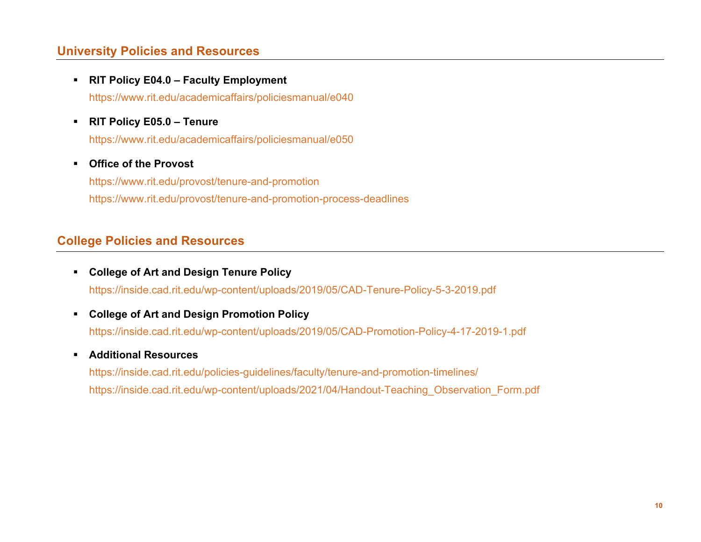# **University Policies and Resources**

- § **RIT Policy E04.0 – Faculty Employment** https://www.rit.edu/academicaffairs/policiesmanual/e040
- § **RIT Policy E05.0 – Tenure**

https://www.rit.edu/academicaffairs/policiesmanual/e050

#### § **Office of the Provost**

https://www.rit.edu/provost/tenure-and-promotion https://www.rit.edu/provost/tenure-and-promotion-process-deadlines

# **College Policies and Resources**

- § **College of Art and Design Tenure Policy** https://inside.cad.rit.edu/wp-content/uploads/2019/05/CAD-Tenure-Policy-5-3-2019.pdf
- § **College of Art and Design Promotion Policy** https://inside.cad.rit.edu/wp-content/uploads/2019/05/CAD-Promotion-Policy-4-17-2019-1.pdf
- § **Additional Resources**

https://inside.cad.rit.edu/policies-guidelines/faculty/tenure-and-promotion-timelines/ https://inside.cad.rit.edu/wp-content/uploads/2021/04/Handout-Teaching\_Observation\_Form.pdf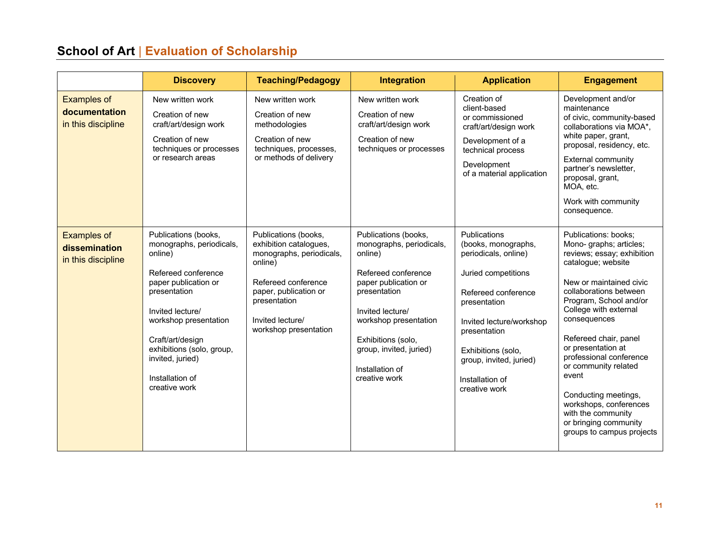# **School of Art** | **Evaluation of Scholarship**

|                                                           | <b>Discovery</b>                                                                                                                                                                                                                                                                 | <b>Teaching/Pedagogy</b>                                                                                                                                                                           | Integration                                                                                                                                                                                                                                                  | <b>Application</b>                                                                                                                                                                                                                                         | <b>Engagement</b>                                                                                                                                                                                                                                                                                                                                                                                                                                                   |
|-----------------------------------------------------------|----------------------------------------------------------------------------------------------------------------------------------------------------------------------------------------------------------------------------------------------------------------------------------|----------------------------------------------------------------------------------------------------------------------------------------------------------------------------------------------------|--------------------------------------------------------------------------------------------------------------------------------------------------------------------------------------------------------------------------------------------------------------|------------------------------------------------------------------------------------------------------------------------------------------------------------------------------------------------------------------------------------------------------------|---------------------------------------------------------------------------------------------------------------------------------------------------------------------------------------------------------------------------------------------------------------------------------------------------------------------------------------------------------------------------------------------------------------------------------------------------------------------|
| <b>Examples of</b><br>documentation<br>in this discipline | New written work<br>Creation of new<br>craft/art/design work<br>Creation of new<br>techniques or processes<br>or research areas                                                                                                                                                  | New written work<br>Creation of new<br>methodologies<br>Creation of new<br>techniques, processes,<br>or methods of delivery                                                                        | New written work<br>Creation of new<br>craft/art/design work<br>Creation of new<br>techniques or processes                                                                                                                                                   | Creation of<br>client-based<br>or commissioned<br>craft/art/design work<br>Development of a<br>technical process<br>Development<br>of a material application                                                                                               | Development and/or<br>maintenance<br>of civic, community-based<br>collaborations via MOA*,<br>white paper, grant,<br>proposal, residency, etc.<br><b>External community</b><br>partner's newsletter,<br>proposal, grant,<br>MOA, etc.<br>Work with community<br>consequence.                                                                                                                                                                                        |
| <b>Examples of</b><br>dissemination<br>in this discipline | Publications (books,<br>monographs, periodicals,<br>online)<br>Refereed conference<br>paper publication or<br>presentation<br>Invited lecture/<br>workshop presentation<br>Craft/art/design<br>exhibitions (solo, group,<br>invited, juried)<br>Installation of<br>creative work | Publications (books,<br>exhibition catalogues,<br>monographs, periodicals,<br>online)<br>Refereed conference<br>paper, publication or<br>presentation<br>Invited lecture/<br>workshop presentation | Publications (books,<br>monographs, periodicals,<br>online)<br>Refereed conference<br>paper publication or<br>presentation<br>Invited lecture/<br>workshop presentation<br>Exhibitions (solo,<br>group, invited, juried)<br>Installation of<br>creative work | Publications<br>(books, monographs,<br>periodicals, online)<br>Juried competitions<br>Refereed conference<br>presentation<br>Invited lecture/workshop<br>presentation<br>Exhibitions (solo,<br>group, invited, juried)<br>Installation of<br>creative work | Publications: books;<br>Mono-graphs; articles;<br>reviews; essay; exhibition<br>catalogue; website<br>New or maintained civic<br>collaborations between<br>Program, School and/or<br>College with external<br>consequences<br>Refereed chair, panel<br>or presentation at<br>professional conference<br>or community related<br>event<br>Conducting meetings,<br>workshops, conferences<br>with the community<br>or bringing community<br>groups to campus projects |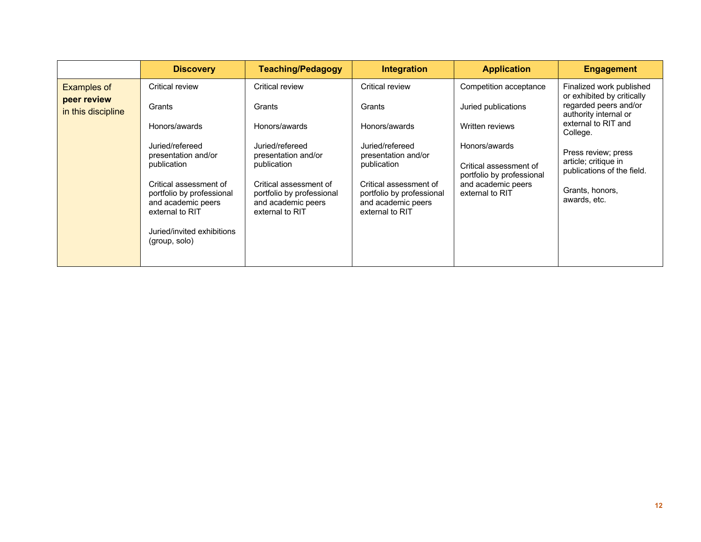|                                                         | <b>Discovery</b>                                                                                                                                                                 | <b>Teaching/Pedagogy</b>                                                                                                                                                         | <b>Integration</b>                                                                                                                                                               | <b>Application</b>                                                                                                                                                                | <b>Engagement</b>                                                                                                                                                                                                                                           |
|---------------------------------------------------------|----------------------------------------------------------------------------------------------------------------------------------------------------------------------------------|----------------------------------------------------------------------------------------------------------------------------------------------------------------------------------|----------------------------------------------------------------------------------------------------------------------------------------------------------------------------------|-----------------------------------------------------------------------------------------------------------------------------------------------------------------------------------|-------------------------------------------------------------------------------------------------------------------------------------------------------------------------------------------------------------------------------------------------------------|
| <b>Examples of</b><br>peer review<br>in this discipline | Critical review<br>Grants<br>Honors/awards<br>Juried/refereed<br>presentation and/or<br>publication<br>Critical assessment of<br>portfolio by professional<br>and academic peers | Critical review<br>Grants<br>Honors/awards<br>Juried/refereed<br>presentation and/or<br>publication<br>Critical assessment of<br>portfolio by professional<br>and academic peers | Critical review<br>Grants<br>Honors/awards<br>Juried/refereed<br>presentation and/or<br>publication<br>Critical assessment of<br>portfolio by professional<br>and academic peers | Competition acceptance<br>Juried publications<br>Written reviews<br>Honors/awards<br>Critical assessment of<br>portfolio by professional<br>and academic peers<br>external to RIT | Finalized work published<br>or exhibited by critically<br>regarded peers and/or<br>authority internal or<br>external to RIT and<br>College.<br>Press review; press<br>article; critique in<br>publications of the field.<br>Grants, honors,<br>awards, etc. |
|                                                         | external to RIT<br>Juried/invited exhibitions<br>(group, solo)                                                                                                                   | external to RIT                                                                                                                                                                  | external to RIT                                                                                                                                                                  |                                                                                                                                                                                   |                                                                                                                                                                                                                                                             |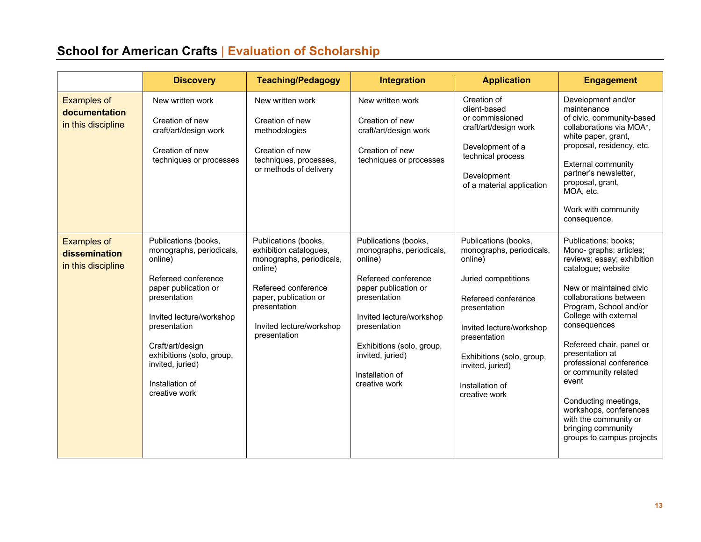# **School for American Crafts** | **Evaluation of Scholarship**

|                                                           | <b>Discovery</b>                                                                                                                                                                                                                                                                | <b>Teaching/Pedagogy</b>                                                                                                                                                                          | <b>Integration</b>                                                                                                                                                                                                                                          | <b>Application</b>                                                                                                                                                                                                                                         | <b>Engagement</b>                                                                                                                                                                                                                                                                                                                                                                                                                                                    |
|-----------------------------------------------------------|---------------------------------------------------------------------------------------------------------------------------------------------------------------------------------------------------------------------------------------------------------------------------------|---------------------------------------------------------------------------------------------------------------------------------------------------------------------------------------------------|-------------------------------------------------------------------------------------------------------------------------------------------------------------------------------------------------------------------------------------------------------------|------------------------------------------------------------------------------------------------------------------------------------------------------------------------------------------------------------------------------------------------------------|----------------------------------------------------------------------------------------------------------------------------------------------------------------------------------------------------------------------------------------------------------------------------------------------------------------------------------------------------------------------------------------------------------------------------------------------------------------------|
| <b>Examples of</b><br>documentation<br>in this discipline | New written work<br>Creation of new<br>craft/art/design work<br>Creation of new<br>techniques or processes                                                                                                                                                                      | New written work<br>Creation of new<br>methodologies<br>Creation of new<br>techniques, processes,<br>or methods of delivery                                                                       | New written work<br>Creation of new<br>craft/art/design work<br>Creation of new<br>techniques or processes                                                                                                                                                  | Creation of<br>client-based<br>or commissioned<br>craft/art/design work<br>Development of a<br>technical process<br>Development<br>of a material application                                                                                               | Development and/or<br>maintenance<br>of civic, community-based<br>collaborations via MOA*,<br>white paper, grant,<br>proposal, residency, etc.<br>External community<br>partner's newsletter,<br>proposal, grant,<br>MOA, etc.<br>Work with community<br>consequence.                                                                                                                                                                                                |
| <b>Examples of</b><br>dissemination<br>in this discipline | Publications (books,<br>monographs, periodicals,<br>online)<br>Refereed conference<br>paper publication or<br>presentation<br>Invited lecture/workshop<br>presentation<br>Craft/art/design<br>exhibitions (solo, group,<br>invited, juried)<br>Installation of<br>creative work | Publications (books,<br>exhibition catalogues,<br>monographs, periodicals,<br>online)<br>Refereed conference<br>paper, publication or<br>presentation<br>Invited lecture/workshop<br>presentation | Publications (books,<br>monographs, periodicals,<br>online)<br>Refereed conference<br>paper publication or<br>presentation<br>Invited lecture/workshop<br>presentation<br>Exhibitions (solo, group,<br>invited, juried)<br>Installation of<br>creative work | Publications (books,<br>monographs, periodicals,<br>online)<br>Juried competitions<br>Refereed conference<br>presentation<br>Invited lecture/workshop<br>presentation<br>Exhibitions (solo, group,<br>invited, juried)<br>Installation of<br>creative work | Publications: books;<br>Mono- graphs; articles;<br>reviews; essay; exhibition<br>catalogue; website<br>New or maintained civic<br>collaborations between<br>Program, School and/or<br>College with external<br>consequences<br>Refereed chair, panel or<br>presentation at<br>professional conference<br>or community related<br>event<br>Conducting meetings,<br>workshops, conferences<br>with the community or<br>bringing community<br>groups to campus projects |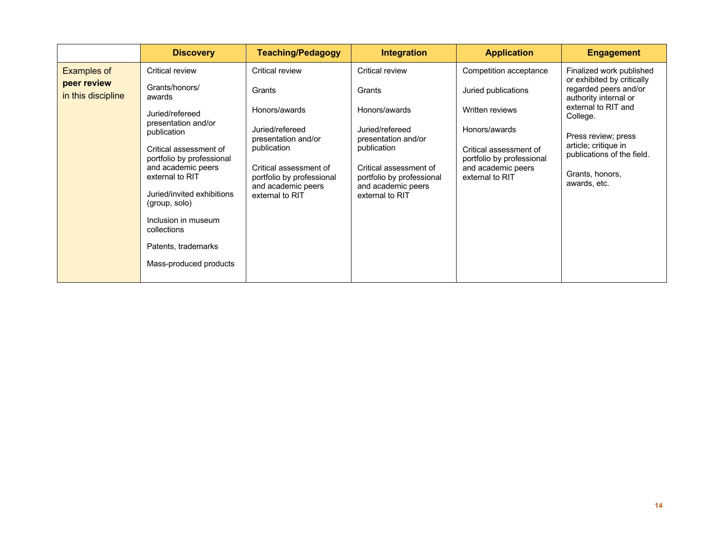|                                                         | <b>Discovery</b>                                                                                                                                                                                                                                                                                                                           | <b>Teaching/Pedagogy</b>                                                                                                                                                                            | Integration                                                                                                                                                                                                | <b>Application</b>                                                                                                                                                                | <b>Engagement</b>                                                                                                                                                                                                                                           |
|---------------------------------------------------------|--------------------------------------------------------------------------------------------------------------------------------------------------------------------------------------------------------------------------------------------------------------------------------------------------------------------------------------------|-----------------------------------------------------------------------------------------------------------------------------------------------------------------------------------------------------|------------------------------------------------------------------------------------------------------------------------------------------------------------------------------------------------------------|-----------------------------------------------------------------------------------------------------------------------------------------------------------------------------------|-------------------------------------------------------------------------------------------------------------------------------------------------------------------------------------------------------------------------------------------------------------|
| <b>Examples of</b><br>peer review<br>in this discipline | Critical review<br>Grants/honors/<br>awards<br>Juried/refereed<br>presentation and/or<br>publication<br>Critical assessment of<br>portfolio by professional<br>and academic peers<br>external to RIT<br>Juried/invited exhibitions<br>(group, solo)<br>Inclusion in museum<br>collections<br>Patents, trademarks<br>Mass-produced products | Critical review<br>Grants<br>Honors/awards<br>Juried/refereed<br>presentation and/or<br>publication<br>Critical assessment of<br>portfolio by professional<br>and academic peers<br>external to RIT | <b>Critical review</b><br>Grants<br>Honors/awards<br>Juried/refereed<br>presentation and/or<br>publication<br>Critical assessment of<br>portfolio by professional<br>and academic peers<br>external to RIT | Competition acceptance<br>Juried publications<br>Written reviews<br>Honors/awards<br>Critical assessment of<br>portfolio by professional<br>and academic peers<br>external to RIT | Finalized work published<br>or exhibited by critically<br>regarded peers and/or<br>authority internal or<br>external to RIT and<br>College.<br>Press review; press<br>article; critique in<br>publications of the field.<br>Grants, honors,<br>awards, etc. |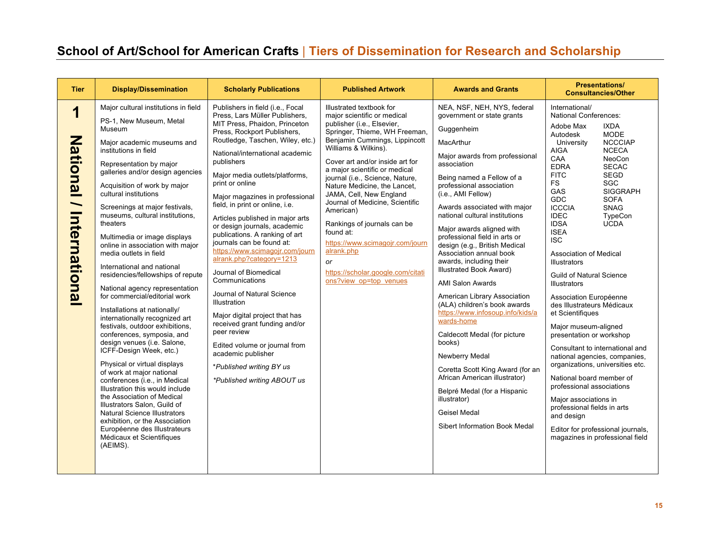# **School of Art/School for American Crafts** | **Tiers of Dissemination for Research and Scholarship**

| <b>Tier</b>                  | <b>Display/Dissemination</b>                                                                                                                                                                                                                                                                                                                                                                                                                                                                                                                                                                                                                                                                                                                                                                                                                                                                                                                                                                                                                                                                                                | <b>Scholarly Publications</b>                                                                                                                                                                                                                                                                                                                                                                                                                                                                                                                                                                                                                                                                                                                                                                                                                            | <b>Published Artwork</b>                                                                                                                                                                                                                                                                                                                                                                                                                                                                                                                                                   | <b>Awards and Grants</b>                                                                                                                                                                                                                                                                                                                                                                                                                                                                                                                                                                                                                                                                                                                                                                                                                                     | <b>Presentations/</b><br><b>Consultancies/Other</b>                                                                                                                                                                                                                                                                                                                                                                                                                                                                                                                                                                                                                                                                                                                                                                                                                                                                                                                                                          |
|------------------------------|-----------------------------------------------------------------------------------------------------------------------------------------------------------------------------------------------------------------------------------------------------------------------------------------------------------------------------------------------------------------------------------------------------------------------------------------------------------------------------------------------------------------------------------------------------------------------------------------------------------------------------------------------------------------------------------------------------------------------------------------------------------------------------------------------------------------------------------------------------------------------------------------------------------------------------------------------------------------------------------------------------------------------------------------------------------------------------------------------------------------------------|----------------------------------------------------------------------------------------------------------------------------------------------------------------------------------------------------------------------------------------------------------------------------------------------------------------------------------------------------------------------------------------------------------------------------------------------------------------------------------------------------------------------------------------------------------------------------------------------------------------------------------------------------------------------------------------------------------------------------------------------------------------------------------------------------------------------------------------------------------|----------------------------------------------------------------------------------------------------------------------------------------------------------------------------------------------------------------------------------------------------------------------------------------------------------------------------------------------------------------------------------------------------------------------------------------------------------------------------------------------------------------------------------------------------------------------------|--------------------------------------------------------------------------------------------------------------------------------------------------------------------------------------------------------------------------------------------------------------------------------------------------------------------------------------------------------------------------------------------------------------------------------------------------------------------------------------------------------------------------------------------------------------------------------------------------------------------------------------------------------------------------------------------------------------------------------------------------------------------------------------------------------------------------------------------------------------|--------------------------------------------------------------------------------------------------------------------------------------------------------------------------------------------------------------------------------------------------------------------------------------------------------------------------------------------------------------------------------------------------------------------------------------------------------------------------------------------------------------------------------------------------------------------------------------------------------------------------------------------------------------------------------------------------------------------------------------------------------------------------------------------------------------------------------------------------------------------------------------------------------------------------------------------------------------------------------------------------------------|
| Z<br>ational<br>Internationa | Major cultural institutions in field<br>PS-1, New Museum, Metal<br>Museum<br>Maior academic museums and<br>institutions in field<br>Representation by major<br>galleries and/or design agencies<br>Acquisition of work by major<br>cultural institutions<br>Screenings at major festivals,<br>museums, cultural institutions,<br>theaters<br>Multimedia or image displays<br>online in association with major<br>media outlets in field<br>International and national<br>residencies/fellowships of repute<br>National agency representation<br>for commercial/editorial work<br>Installations at nationally/<br>internationally recognized art<br>festivals, outdoor exhibitions,<br>conferences, symposia, and<br>design venues (i.e. Salone,<br>ICFF-Design Week, etc.)<br>Physical or virtual displays<br>of work at major national<br>conferences (i.e., in Medical<br>Illustration this would include<br>the Association of Medical<br>Illustrators Salon, Guild of<br><b>Natural Science Illustrators</b><br>exhibition, or the Association<br>Européenne des Illustrateurs<br>Médicaux et Scientifiques<br>(AEIMS). | Publishers in field (i.e., Focal<br>Press, Lars Müller Publishers,<br>MIT Press, Phaidon, Princeton<br>Press, Rockport Publishers,<br>Routledge, Taschen, Wiley, etc.)<br>National/international academic<br>publishers<br>Major media outlets/platforms,<br>print or online<br>Major magazines in professional<br>field, in print or online, i.e.<br>Articles published in major arts<br>or design journals, academic<br>publications. A ranking of art<br>journals can be found at:<br>https://www.scimagojr.com/journ<br>alrank.php?category=1213<br>Journal of Biomedical<br>Communications<br>Journal of Natural Science<br><b>Illustration</b><br>Major digital project that has<br>received grant funding and/or<br>peer review<br>Edited volume or journal from<br>academic publisher<br>*Published writing BY us<br>*Published writing ABOUT us | Illustrated textbook for<br>major scientific or medical<br>publisher (i.e., Elsevier,<br>Springer, Thieme, WH Freeman,<br>Benjamin Cummings, Lippincott<br>Williams & Wilkins).<br>Cover art and/or inside art for<br>a major scientific or medical<br>journal (i.e., Science, Nature,<br>Nature Medicine, the Lancet,<br>JAMA, Cell, New England<br>Journal of Medicine, Scientific<br>American)<br>Rankings of journals can be<br>found at:<br>https://www.scimagojr.com/journ<br>alrank.php<br><b>or</b><br>https://scholar.google.com/citati<br>ons?view op=top venues | NEA, NSF, NEH, NYS, federal<br>government or state grants<br>Guggenheim<br>MacArthur<br>Major awards from professional<br>association<br>Being named a Fellow of a<br>professional association<br>(i.e., AMI Fellow)<br>Awards associated with major<br>national cultural institutions<br>Major awards aligned with<br>professional field in arts or<br>design (e.g., British Medical<br>Association annual book<br>awards, including their<br>Illustrated Book Award)<br><b>AMI Salon Awards</b><br>American Library Association<br>(ALA) children's book awards<br>https://www.infosoup.info/kids/a<br>wards-home<br>Caldecott Medal (for picture<br>books)<br>Newberry Medal<br>Coretta Scott King Award (for an<br>African American illustrator)<br>Belpré Medal (for a Hispanic<br>illustrator)<br><b>Geisel Medal</b><br>Sibert Information Book Medal | International/<br><b>National Conferences:</b><br><b>IXDA</b><br>Adobe Max<br><b>MODE</b><br>Autodesk<br>University<br><b>NCCCIAP</b><br><b>NCECA</b><br><b>AIGA</b><br>CAA<br>NeoCon<br><b>EDRA</b><br><b>SECAC</b><br><b>FITC</b><br><b>SEGD</b><br><b>FS</b><br>SGC<br>GAS<br><b>SIGGRAPH</b><br>GDC<br><b>SOFA</b><br><b>ICCCIA</b><br><b>SNAG</b><br><b>IDEC</b><br>TypeCon<br><b>UCDA</b><br><b>IDSA</b><br><b>ISEA</b><br><b>ISC</b><br><b>Association of Medical</b><br><b>Illustrators</b><br><b>Guild of Natural Science</b><br><b>Illustrators</b><br>Association Européenne<br>des Illustrateurs Médicaux<br>et Scientifiques<br>Major museum-aligned<br>presentation or workshop<br>Consultant to international and<br>national agencies, companies,<br>organizations, universities etc.<br>National board member of<br>professional associations<br>Major associations in<br>professional fields in arts<br>and design<br>Editor for professional journals,<br>magazines in professional field |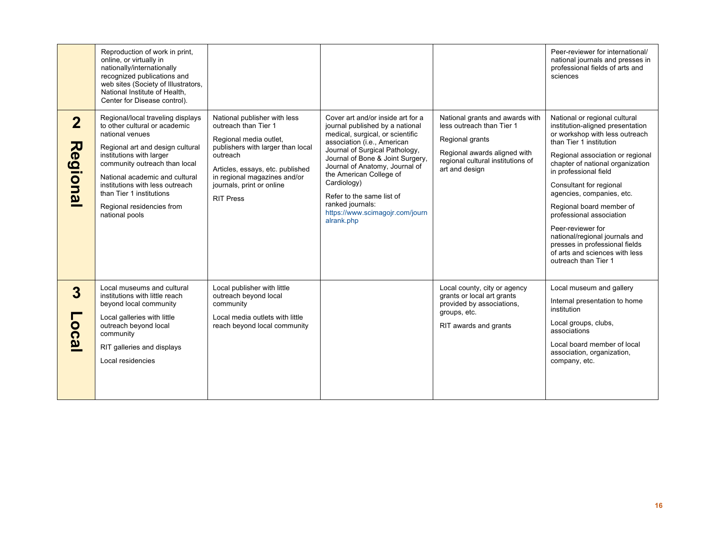|                                          | Reproduction of work in print,<br>online, or virtually in<br>nationally/internationally<br>recognized publications and<br>web sites (Society of Illustrators,<br>National Institute of Health,<br>Center for Disease control).                                                                                                         |                                                                                                                                                                                                                                                      |                                                                                                                                                                                                                                                                                                                                                                                             |                                                                                                                                                                        | Peer-reviewer for international/<br>national journals and presses in<br>professional fields of arts and<br>sciences                                                                                                                                                                                                                                                                                                                                                                                |
|------------------------------------------|----------------------------------------------------------------------------------------------------------------------------------------------------------------------------------------------------------------------------------------------------------------------------------------------------------------------------------------|------------------------------------------------------------------------------------------------------------------------------------------------------------------------------------------------------------------------------------------------------|---------------------------------------------------------------------------------------------------------------------------------------------------------------------------------------------------------------------------------------------------------------------------------------------------------------------------------------------------------------------------------------------|------------------------------------------------------------------------------------------------------------------------------------------------------------------------|----------------------------------------------------------------------------------------------------------------------------------------------------------------------------------------------------------------------------------------------------------------------------------------------------------------------------------------------------------------------------------------------------------------------------------------------------------------------------------------------------|
| $\overline{2}$<br>Regional               | Regional/local traveling displays<br>to other cultural or academic<br>national venues<br>Regional art and design cultural<br>institutions with larger<br>community outreach than local<br>National academic and cultural<br>institutions with less outreach<br>than Tier 1 institutions<br>Regional residencies from<br>national pools | National publisher with less<br>outreach than Tier 1<br>Regional media outlet,<br>publishers with larger than local<br>outreach<br>Articles, essays, etc. published<br>in regional magazines and/or<br>journals, print or online<br><b>RIT Press</b> | Cover art and/or inside art for a<br>journal published by a national<br>medical, surgical, or scientific<br>association (i.e., American<br>Journal of Surgical Pathology,<br>Journal of Bone & Joint Surgery,<br>Journal of Anatomy, Journal of<br>the American College of<br>Cardiology)<br>Refer to the same list of<br>ranked journals:<br>https://www.scimagojr.com/journ<br>alrank.php | National grants and awards with<br>less outreach than Tier 1<br>Regional grants<br>Regional awards aligned with<br>regional cultural institutions of<br>art and design | National or regional cultural<br>institution-aligned presentation<br>or workshop with less outreach<br>than Tier 1 institution<br>Regional association or regional<br>chapter of national organization<br>in professional field<br>Consultant for regional<br>agencies, companies, etc.<br>Regional board member of<br>professional association<br>Peer-reviewer for<br>national/regional journals and<br>presses in professional fields<br>of arts and sciences with less<br>outreach than Tier 1 |
| 3<br><u>ဝ</u><br>$\dot{\mathbf{\omega}}$ | Local museums and cultural<br>institutions with little reach<br>beyond local community<br>Local galleries with little<br>outreach beyond local<br>community<br>RIT galleries and displays<br>Local residencies                                                                                                                         | Local publisher with little<br>outreach beyond local<br>community<br>Local media outlets with little<br>reach beyond local community                                                                                                                 |                                                                                                                                                                                                                                                                                                                                                                                             | Local county, city or agency<br>grants or local art grants<br>provided by associations,<br>groups, etc.<br>RIT awards and grants                                       | Local museum and gallery<br>Internal presentation to home<br>institution<br>Local groups, clubs,<br>associations<br>Local board member of local<br>association, organization,<br>company, etc.                                                                                                                                                                                                                                                                                                     |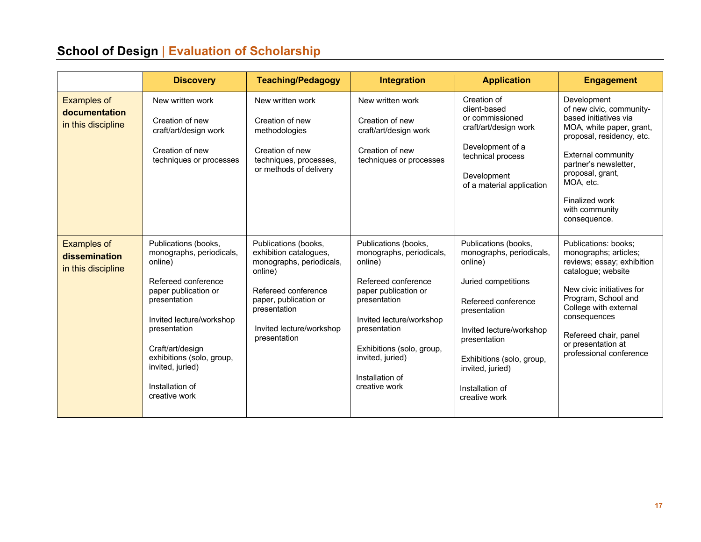# **School of Design** | **Evaluation of Scholarship**

|                                                           | <b>Discovery</b>                                                                                                                                                                                                                                                                | <b>Teaching/Pedagogy</b>                                                                                                                                                                          | <b>Integration</b>                                                                                                                                                                                                                                          | <b>Application</b>                                                                                                                                                                                                                                         | <b>Engagement</b>                                                                                                                                                                                                                                                        |
|-----------------------------------------------------------|---------------------------------------------------------------------------------------------------------------------------------------------------------------------------------------------------------------------------------------------------------------------------------|---------------------------------------------------------------------------------------------------------------------------------------------------------------------------------------------------|-------------------------------------------------------------------------------------------------------------------------------------------------------------------------------------------------------------------------------------------------------------|------------------------------------------------------------------------------------------------------------------------------------------------------------------------------------------------------------------------------------------------------------|--------------------------------------------------------------------------------------------------------------------------------------------------------------------------------------------------------------------------------------------------------------------------|
| <b>Examples of</b><br>documentation<br>in this discipline | New written work<br>Creation of new<br>craft/art/design work<br>Creation of new<br>techniques or processes                                                                                                                                                                      | New written work<br>Creation of new<br>methodologies<br>Creation of new<br>techniques, processes,<br>or methods of delivery                                                                       | New written work<br>Creation of new<br>craft/art/design work<br>Creation of new<br>techniques or processes                                                                                                                                                  | Creation of<br>client-based<br>or commissioned<br>craft/art/design work<br>Development of a<br>technical process<br>Development<br>of a material application                                                                                               | Development<br>of new civic, community-<br>based initiatives via<br>MOA, white paper, grant,<br>proposal, residency, etc.<br><b>External community</b><br>partner's newsletter,<br>proposal, grant,<br>MOA, etc.<br>Finalized work<br>with community<br>consequence.     |
| <b>Examples of</b><br>dissemination<br>in this discipline | Publications (books,<br>monographs, periodicals,<br>online)<br>Refereed conference<br>paper publication or<br>presentation<br>Invited lecture/workshop<br>presentation<br>Craft/art/design<br>exhibitions (solo, group,<br>invited, juried)<br>Installation of<br>creative work | Publications (books,<br>exhibition catalogues,<br>monographs, periodicals,<br>online)<br>Refereed conference<br>paper, publication or<br>presentation<br>Invited lecture/workshop<br>presentation | Publications (books,<br>monographs, periodicals,<br>online)<br>Refereed conference<br>paper publication or<br>presentation<br>Invited lecture/workshop<br>presentation<br>Exhibitions (solo, group,<br>invited, juried)<br>Installation of<br>creative work | Publications (books,<br>monographs, periodicals,<br>online)<br>Juried competitions<br>Refereed conference<br>presentation<br>Invited lecture/workshop<br>presentation<br>Exhibitions (solo, group,<br>invited, juried)<br>Installation of<br>creative work | Publications: books;<br>monographs; articles;<br>reviews; essay; exhibition<br>catalogue; website<br>New civic initiatives for<br>Program, School and<br>College with external<br>consequences<br>Refereed chair, panel<br>or presentation at<br>professional conference |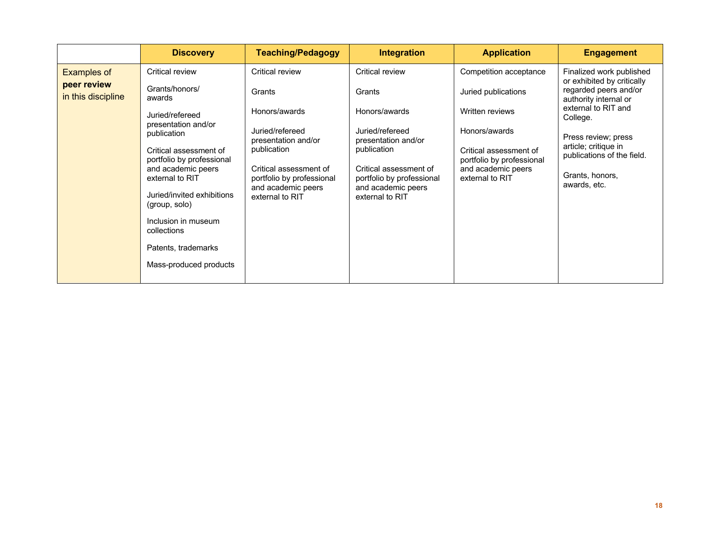|                                                         | <b>Discovery</b>                                                                                                                                                                                                                                                                                                                           | <b>Teaching/Pedagogy</b>                                                                                                                                                                            | <b>Integration</b>                                                                                                                                                                                  | <b>Application</b>                                                                                                                                                                | <b>Engagement</b>                                                                                                                                                                                                                                           |
|---------------------------------------------------------|--------------------------------------------------------------------------------------------------------------------------------------------------------------------------------------------------------------------------------------------------------------------------------------------------------------------------------------------|-----------------------------------------------------------------------------------------------------------------------------------------------------------------------------------------------------|-----------------------------------------------------------------------------------------------------------------------------------------------------------------------------------------------------|-----------------------------------------------------------------------------------------------------------------------------------------------------------------------------------|-------------------------------------------------------------------------------------------------------------------------------------------------------------------------------------------------------------------------------------------------------------|
| <b>Examples of</b><br>peer review<br>in this discipline | Critical review<br>Grants/honors/<br>awards<br>Juried/refereed<br>presentation and/or<br>publication<br>Critical assessment of<br>portfolio by professional<br>and academic peers<br>external to RIT<br>Juried/invited exhibitions<br>(group, solo)<br>Inclusion in museum<br>collections<br>Patents, trademarks<br>Mass-produced products | Critical review<br>Grants<br>Honors/awards<br>Juried/refereed<br>presentation and/or<br>publication<br>Critical assessment of<br>portfolio by professional<br>and academic peers<br>external to RIT | Critical review<br>Grants<br>Honors/awards<br>Juried/refereed<br>presentation and/or<br>publication<br>Critical assessment of<br>portfolio by professional<br>and academic peers<br>external to RIT | Competition acceptance<br>Juried publications<br>Written reviews<br>Honors/awards<br>Critical assessment of<br>portfolio by professional<br>and academic peers<br>external to RIT | Finalized work published<br>or exhibited by critically<br>regarded peers and/or<br>authority internal or<br>external to RIT and<br>College.<br>Press review; press<br>article; critique in<br>publications of the field.<br>Grants, honors,<br>awards, etc. |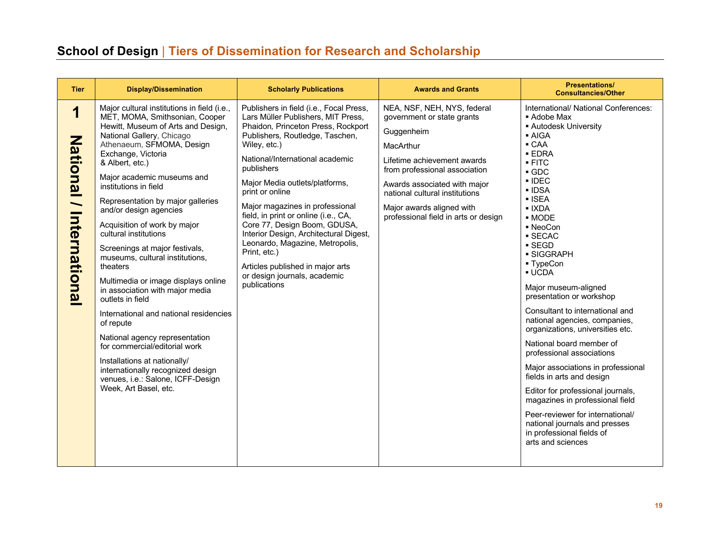# **School of Design** | **Tiers of Dissemination for Research and Scholarship**

| <b>Tier</b>                                                      | <b>Display/Dissemination</b>                                                                                                                                                                                                                                                                                                                                                                                                                                                                                                                                                                                                                                                                                                                                                                                                                      | <b>Scholarly Publications</b>                                                                                                                                                                                                                                                                                                                                                                                                                                                                                                                                            | <b>Awards and Grants</b>                                                                                                                                                                                                                                                                    | <b>Presentations/</b><br><b>Consultancies/Other</b>                                                                                                                                                                                                                                                                                                                                                                                                                                                                                                                                                                                                                                                                                                                                                                                          |
|------------------------------------------------------------------|---------------------------------------------------------------------------------------------------------------------------------------------------------------------------------------------------------------------------------------------------------------------------------------------------------------------------------------------------------------------------------------------------------------------------------------------------------------------------------------------------------------------------------------------------------------------------------------------------------------------------------------------------------------------------------------------------------------------------------------------------------------------------------------------------------------------------------------------------|--------------------------------------------------------------------------------------------------------------------------------------------------------------------------------------------------------------------------------------------------------------------------------------------------------------------------------------------------------------------------------------------------------------------------------------------------------------------------------------------------------------------------------------------------------------------------|---------------------------------------------------------------------------------------------------------------------------------------------------------------------------------------------------------------------------------------------------------------------------------------------|----------------------------------------------------------------------------------------------------------------------------------------------------------------------------------------------------------------------------------------------------------------------------------------------------------------------------------------------------------------------------------------------------------------------------------------------------------------------------------------------------------------------------------------------------------------------------------------------------------------------------------------------------------------------------------------------------------------------------------------------------------------------------------------------------------------------------------------------|
| 1<br><b>National</b><br>$\overline{\phantom{0}}$<br>Internationa | Major cultural institutions in field (i.e.,<br>MET, MOMA, Smithsonian, Cooper<br>Hewitt, Museum of Arts and Design,<br>National Gallery, Chicago<br>Athenaeum, SFMOMA, Design<br>Exchange, Victoria<br>& Albert, etc.)<br>Major academic museums and<br>institutions in field<br>Representation by major galleries<br>and/or design agencies<br>Acquisition of work by major<br>cultural institutions<br>Screenings at major festivals,<br>museums, cultural institutions,<br>theaters<br>Multimedia or image displays online<br>in association with major media<br>outlets in field<br>International and national residencies<br>of repute<br>National agency representation<br>for commercial/editorial work<br>Installations at nationally/<br>internationally recognized design<br>venues, i.e.: Salone, ICFF-Design<br>Week, Art Basel, etc. | Publishers in field (i.e., Focal Press,<br>Lars Müller Publishers, MIT Press,<br>Phaidon, Princeton Press, Rockport<br>Publishers, Routledge, Taschen,<br>Wiley, etc.)<br>National/International academic<br>publishers<br>Major Media outlets/platforms,<br>print or online<br>Major magazines in professional<br>field, in print or online (i.e., CA,<br>Core 77, Design Boom, GDUSA,<br>Interior Design, Architectural Digest,<br>Leonardo, Magazine, Metropolis,<br>Print, etc.)<br>Articles published in major arts<br>or design journals, academic<br>publications | NEA, NSF, NEH, NYS, federal<br>government or state grants<br>Guggenheim<br>MacArthur<br>Lifetime achievement awards<br>from professional association<br>Awards associated with major<br>national cultural institutions<br>Major awards aligned with<br>professional field in arts or design | International/ National Conferences:<br>■ Adobe Max<br><b>Autodesk University</b><br>■ AIGA<br>$\blacksquare$ CAA<br><b>EDRA</b><br>$-$ FITC<br>$\blacksquare$ GDC<br>$\blacksquare$ IDEC<br>• IDSA<br>$\blacksquare$ ISEA<br>$\blacksquare$ IXDA<br>- MODE<br>• NeoCon<br>■ SECAC<br>$\blacksquare$ SEGD<br>· SIGGRAPH<br>■ TypeCon<br><b>- UCDA</b><br>Major museum-aligned<br>presentation or workshop<br>Consultant to international and<br>national agencies, companies,<br>organizations, universities etc.<br>National board member of<br>professional associations<br>Major associations in professional<br>fields in arts and design<br>Editor for professional journals,<br>magazines in professional field<br>Peer-reviewer for international/<br>national journals and presses<br>in professional fields of<br>arts and sciences |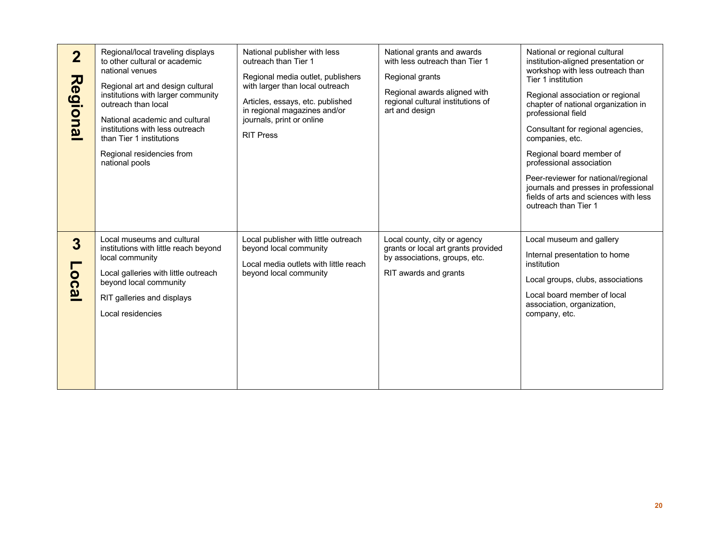| $\overline{2}$<br>Regional | Regional/local traveling displays<br>to other cultural or academic<br>national venues<br>Regional art and design cultural<br>institutions with larger community<br>outreach than local<br>National academic and cultural<br>institutions with less outreach<br>than Tier 1 institutions<br>Regional residencies from<br>national pools | National publisher with less<br>outreach than Tier 1<br>Regional media outlet, publishers<br>with larger than local outreach<br>Articles, essays, etc. published<br>in regional magazines and/or<br>journals, print or online<br><b>RIT Press</b> | National grants and awards<br>with less outreach than Tier 1<br>Regional grants<br>Regional awards aligned with<br>regional cultural institutions of<br>art and design | National or regional cultural<br>institution-aligned presentation or<br>workshop with less outreach than<br>Tier 1 institution<br>Regional association or regional<br>chapter of national organization in<br>professional field<br>Consultant for regional agencies,<br>companies, etc.<br>Regional board member of<br>professional association<br>Peer-reviewer for national/regional<br>journals and presses in professional<br>fields of arts and sciences with less<br>outreach than Tier 1 |
|----------------------------|----------------------------------------------------------------------------------------------------------------------------------------------------------------------------------------------------------------------------------------------------------------------------------------------------------------------------------------|---------------------------------------------------------------------------------------------------------------------------------------------------------------------------------------------------------------------------------------------------|------------------------------------------------------------------------------------------------------------------------------------------------------------------------|-------------------------------------------------------------------------------------------------------------------------------------------------------------------------------------------------------------------------------------------------------------------------------------------------------------------------------------------------------------------------------------------------------------------------------------------------------------------------------------------------|
| 3<br><b>OCa</b>            | Local museums and cultural<br>institutions with little reach beyond<br>local community<br>Local galleries with little outreach<br>beyond local community<br>RIT galleries and displays<br>Local residencies                                                                                                                            | Local publisher with little outreach<br>beyond local community<br>Local media outlets with little reach<br>beyond local community                                                                                                                 | Local county, city or agency<br>grants or local art grants provided<br>by associations, groups, etc.<br>RIT awards and grants                                          | Local museum and gallery<br>Internal presentation to home<br>institution<br>Local groups, clubs, associations<br>Local board member of local<br>association, organization,<br>company, etc.                                                                                                                                                                                                                                                                                                     |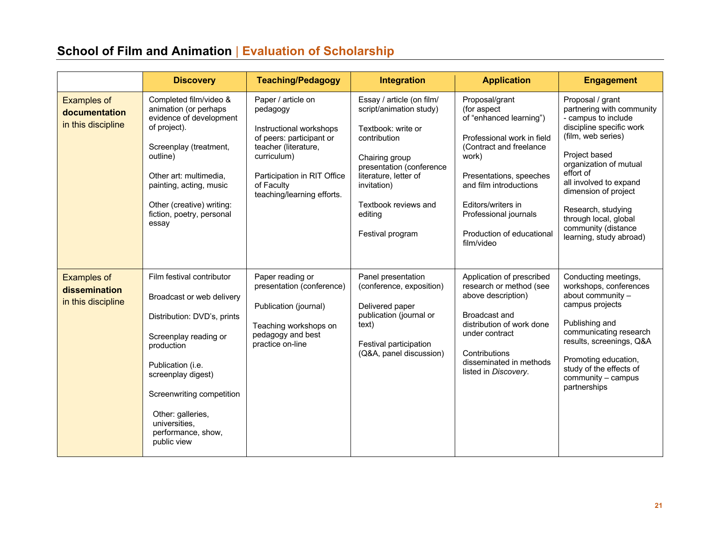# **School of Film and Animation** | **Evaluation of Scholarship**

|                                                           | <b>Discovery</b>                                                                                                                                                                                                                                                                | <b>Teaching/Pedagogy</b>                                                                                                                                                                                | <b>Integration</b>                                                                                                                                                                                                                      | <b>Application</b>                                                                                                                                                                                                                                                        | <b>Engagement</b>                                                                                                                                                                                                                                                                                                                 |
|-----------------------------------------------------------|---------------------------------------------------------------------------------------------------------------------------------------------------------------------------------------------------------------------------------------------------------------------------------|---------------------------------------------------------------------------------------------------------------------------------------------------------------------------------------------------------|-----------------------------------------------------------------------------------------------------------------------------------------------------------------------------------------------------------------------------------------|---------------------------------------------------------------------------------------------------------------------------------------------------------------------------------------------------------------------------------------------------------------------------|-----------------------------------------------------------------------------------------------------------------------------------------------------------------------------------------------------------------------------------------------------------------------------------------------------------------------------------|
| <b>Examples of</b><br>documentation<br>in this discipline | Completed film/video &<br>animation (or perhaps<br>evidence of development<br>of project).<br>Screenplay (treatment,<br>outline)<br>Other art: multimedia.<br>painting, acting, music<br>Other (creative) writing:<br>fiction, poetry, personal<br>essay                        | Paper / article on<br>pedagogy<br>Instructional workshops<br>of peers: participant or<br>teacher (literature,<br>curriculum)<br>Participation in RIT Office<br>of Faculty<br>teaching/learning efforts. | Essay / article (on film/<br>script/animation study)<br>Textbook: write or<br>contribution<br>Chairing group<br>presentation (conference<br>literature, letter of<br>invitation)<br>Textbook reviews and<br>editing<br>Festival program | Proposal/grant<br>(for aspect<br>of "enhanced learning")<br>Professional work in field<br>(Contract and freelance<br>work)<br>Presentations, speeches<br>and film introductions<br>Editors/writers in<br>Professional journals<br>Production of educational<br>film/video | Proposal / grant<br>partnering with community<br>- campus to include<br>discipline specific work<br>(film, web series)<br>Project based<br>organization of mutual<br>effort of<br>all involved to expand<br>dimension of project<br>Research, studying<br>through local, global<br>community (distance<br>learning, study abroad) |
| <b>Examples of</b><br>dissemination<br>in this discipline | Film festival contributor<br>Broadcast or web delivery<br>Distribution: DVD's, prints<br>Screenplay reading or<br>production<br>Publication (i.e.<br>screenplay digest)<br>Screenwriting competition<br>Other: galleries,<br>universities,<br>performance, show,<br>public view | Paper reading or<br>presentation (conference)<br>Publication (journal)<br>Teaching workshops on<br>pedagogy and best<br>practice on-line                                                                | Panel presentation<br>(conference, exposition)<br>Delivered paper<br>publication (journal or<br>text)<br>Festival participation<br>(Q&A, panel discussion)                                                                              | Application of prescribed<br>research or method (see<br>above description)<br>Broadcast and<br>distribution of work done<br>under contract<br>Contributions<br>disseminated in methods<br>listed in Discovery.                                                            | Conducting meetings,<br>workshops, conferences<br>about community -<br>campus projects<br>Publishing and<br>communicating research<br>results, screenings, Q&A<br>Promoting education,<br>study of the effects of<br>community - campus<br>partnerships                                                                           |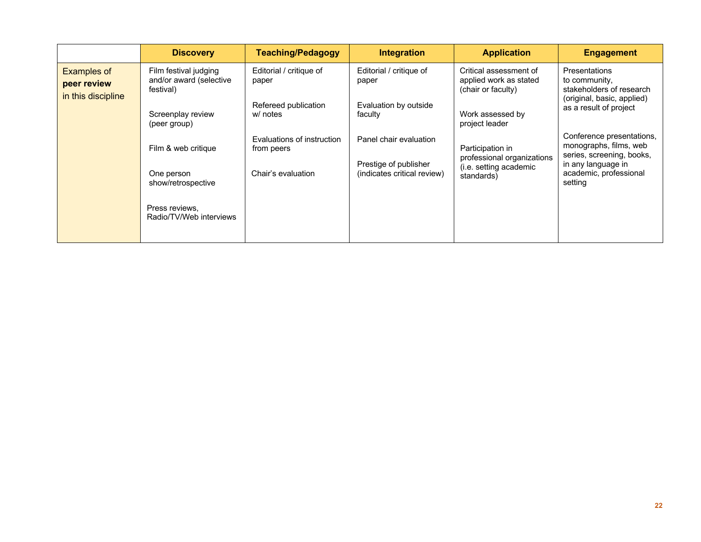| <b>Discovery</b>                                              | <b>Teaching/Pedagogy</b>                 | Integration                                                                                                | <b>Application</b>                             | <b>Engagement</b>                                                                                      |
|---------------------------------------------------------------|------------------------------------------|------------------------------------------------------------------------------------------------------------|------------------------------------------------|--------------------------------------------------------------------------------------------------------|
| Film festival judging<br>and/or award (selective<br>festival) | Editorial / critique of<br>paper         | Editorial / critique of<br>Critical assessment of<br>applied work as stated<br>paper<br>(chair or faculty) |                                                | <b>Presentations</b><br>to community.<br>stakeholders of research<br>(original, basic, applied)        |
| Screenplay review<br>(peer group)                             | Refereed publication<br>w/ notes         | Evaluation by outside<br>faculty                                                                           | Work assessed by<br>project leader             | as a result of project                                                                                 |
| Film & web critique                                           | Evaluations of instruction<br>from peers | Panel chair evaluation                                                                                     | Participation in<br>professional organizations | Conference presentations,<br>monographs, films, web<br>series, screening, books,<br>in any language in |
| One person<br>show/retrospective                              | Chair's evaluation                       | (indicates critical review)                                                                                | standards)                                     | academic, professional<br>setting                                                                      |
| Press reviews.<br>Radio/TV/Web interviews                     |                                          |                                                                                                            |                                                |                                                                                                        |
|                                                               |                                          |                                                                                                            | Prestige of publisher                          | (i.e. setting academic                                                                                 |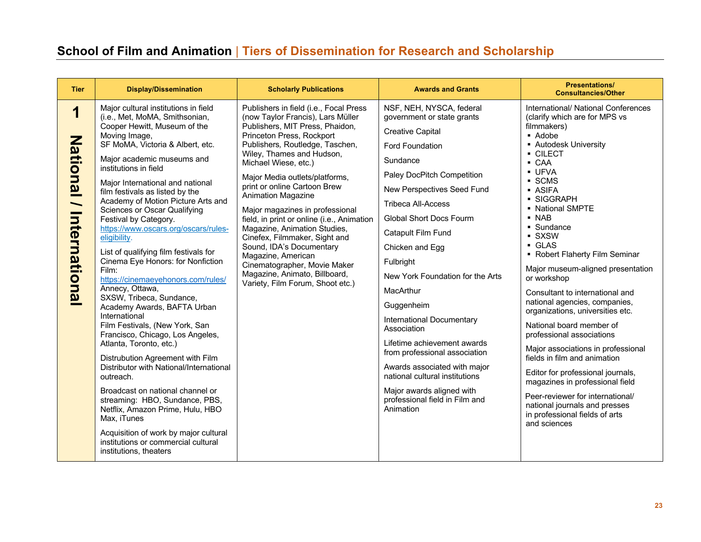# **School of Film and Animation** | **Tiers of Dissemination for Research and Scholarship**

| <b>Tier</b>                                                       | <b>Display/Dissemination</b>                                                                                                                                                                                                                                                                                                                                                                                                                                                                                                                                                                                                                                                                                                                                                                                                                                                                                                                                                                                                                                                                                        | <b>Scholarly Publications</b>                                                                                                                                                                                                                                                                                                                                                                                                                                                                                                                                                                                                        | <b>Awards and Grants</b>                                                                                                                                                                                                                                                                                                                                                                                                                                                                                                                                                                                                   | <b>Presentations/</b><br><b>Consultancies/Other</b>                                                                                                                                                                                                                                                                                                                                                                                                                                                                                                                                                                                                                                                                                                                                                                              |
|-------------------------------------------------------------------|---------------------------------------------------------------------------------------------------------------------------------------------------------------------------------------------------------------------------------------------------------------------------------------------------------------------------------------------------------------------------------------------------------------------------------------------------------------------------------------------------------------------------------------------------------------------------------------------------------------------------------------------------------------------------------------------------------------------------------------------------------------------------------------------------------------------------------------------------------------------------------------------------------------------------------------------------------------------------------------------------------------------------------------------------------------------------------------------------------------------|--------------------------------------------------------------------------------------------------------------------------------------------------------------------------------------------------------------------------------------------------------------------------------------------------------------------------------------------------------------------------------------------------------------------------------------------------------------------------------------------------------------------------------------------------------------------------------------------------------------------------------------|----------------------------------------------------------------------------------------------------------------------------------------------------------------------------------------------------------------------------------------------------------------------------------------------------------------------------------------------------------------------------------------------------------------------------------------------------------------------------------------------------------------------------------------------------------------------------------------------------------------------------|----------------------------------------------------------------------------------------------------------------------------------------------------------------------------------------------------------------------------------------------------------------------------------------------------------------------------------------------------------------------------------------------------------------------------------------------------------------------------------------------------------------------------------------------------------------------------------------------------------------------------------------------------------------------------------------------------------------------------------------------------------------------------------------------------------------------------------|
| 1<br><b>National</b><br>$\overline{\phantom{0}}$<br>International | Major cultural institutions in field<br>(i.e., Met, MoMA, Smithsonian,<br>Cooper Hewitt, Museum of the<br>Moving Image,<br>SF MoMA, Victoria & Albert, etc.<br>Major academic museums and<br>institutions in field<br>Major International and national<br>film festivals as listed by the<br>Academy of Motion Picture Arts and<br><b>Sciences or Oscar Qualifying</b><br>Festival by Category.<br>https://www.oscars.org/oscars/rules-<br>eligibility.<br>List of qualifying film festivals for<br>Cinema Eye Honors: for Nonfiction<br>Film:<br>https://cinemaeyehonors.com/rules/<br>Annecy, Ottawa,<br>SXSW, Tribeca, Sundance,<br>Academy Awards, BAFTA Urban<br>International<br>Film Festivals, (New York, San<br>Francisco, Chicago, Los Angeles,<br>Atlanta, Toronto, etc.)<br>Distrubution Agreement with Film<br>Distributor with National/International<br>outreach.<br>Broadcast on national channel or<br>streaming: HBO, Sundance, PBS,<br>Netflix, Amazon Prime, Hulu, HBO<br>Max, iTunes<br>Acquisition of work by major cultural<br>institutions or commercial cultural<br>institutions, theaters | Publishers in field (i.e., Focal Press<br>(now Taylor Francis), Lars Müller<br>Publishers, MIT Press, Phaidon,<br>Princeton Press, Rockport<br>Publishers, Routledge, Taschen,<br>Wiley, Thames and Hudson,<br>Michael Wiese, etc.)<br>Major Media outlets/platforms,<br>print or online Cartoon Brew<br>Animation Magazine<br>Major magazines in professional<br>field, in print or online (i.e., Animation<br>Magazine, Animation Studies,<br>Cinefex, Filmmaker, Sight and<br>Sound, IDA's Documentary<br>Magazine, American<br>Cinematographer, Movie Maker<br>Magazine, Animato, Billboard,<br>Variety, Film Forum, Shoot etc.) | NSF, NEH, NYSCA, federal<br>government or state grants<br><b>Creative Capital</b><br>Ford Foundation<br>Sundance<br>Paley DocPitch Competition<br>New Perspectives Seed Fund<br><b>Tribeca All-Access</b><br><b>Global Short Docs Fourm</b><br>Catapult Film Fund<br>Chicken and Egg<br>Fulbright<br>New York Foundation for the Arts<br>MacArthur<br>Guggenheim<br>International Documentary<br>Association<br>Lifetime achievement awards<br>from professional association<br>Awards associated with major<br>national cultural institutions<br>Major awards aligned with<br>professional field in Film and<br>Animation | International/ National Conferences<br>(clarify which are for MPS vs<br>filmmakers)<br>• Adobe<br>• Autodesk University<br>• CILECT<br>• CAA<br><b>UFVA</b><br>$\overline{\phantom{a}}$ SCMS<br><b>ASIFA</b><br>• SIGGRAPH<br>• National SMPTE<br>$\blacksquare$ NAB<br>• Sundance<br>· SXSW<br>GLAS<br>• Robert Flaherty Film Seminar<br>Major museum-aligned presentation<br>or workshop<br>Consultant to international and<br>national agencies, companies,<br>organizations, universities etc.<br>National board member of<br>professional associations<br>Major associations in professional<br>fields in film and animation<br>Editor for professional journals,<br>magazines in professional field<br>Peer-reviewer for international/<br>national journals and presses<br>in professional fields of arts<br>and sciences |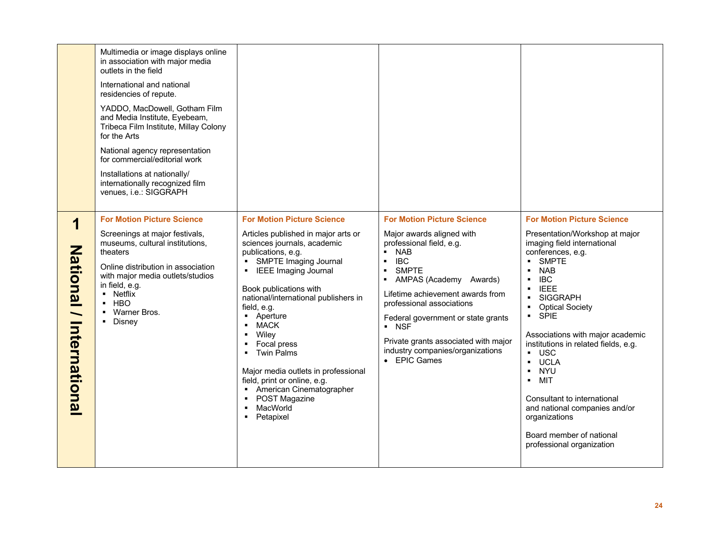|                                                                  | Multimedia or image displays online<br>in association with major media<br>outlets in the field<br>International and national<br>residencies of repute.<br>YADDO, MacDowell, Gotham Film<br>and Media Institute, Eyebeam,<br>Tribeca Film Institute, Millay Colony<br>for the Arts<br>National agency representation<br>for commercial/editorial work<br>Installations at nationally/<br>internationally recognized film<br>venues, i.e.: SIGGRAPH |                                                                                                                                                                                                                                                                                                                                                                                                                                                                                                                  |                                                                                                                                                                                                                                                                                                                                                                                                                             |                                                                                                                                                                                                                                                                                                                                                                                                                                                                                                                                                                                                                                                              |
|------------------------------------------------------------------|---------------------------------------------------------------------------------------------------------------------------------------------------------------------------------------------------------------------------------------------------------------------------------------------------------------------------------------------------------------------------------------------------------------------------------------------------|------------------------------------------------------------------------------------------------------------------------------------------------------------------------------------------------------------------------------------------------------------------------------------------------------------------------------------------------------------------------------------------------------------------------------------------------------------------------------------------------------------------|-----------------------------------------------------------------------------------------------------------------------------------------------------------------------------------------------------------------------------------------------------------------------------------------------------------------------------------------------------------------------------------------------------------------------------|--------------------------------------------------------------------------------------------------------------------------------------------------------------------------------------------------------------------------------------------------------------------------------------------------------------------------------------------------------------------------------------------------------------------------------------------------------------------------------------------------------------------------------------------------------------------------------------------------------------------------------------------------------------|
| 1<br><b>National</b><br>$\overline{\phantom{0}}$<br>Internationa | <b>For Motion Picture Science</b><br>Screenings at major festivals,<br>museums, cultural institutions,<br>theaters<br>Online distribution in association<br>with major media outlets/studios<br>in field, e.g.<br>• Netflix<br>$-HBO$<br>• Warner Bros.<br>• Disney                                                                                                                                                                               | <b>For Motion Picture Science</b><br>Articles published in major arts or<br>sciences journals, academic<br>publications, e.g.<br>• SMPTE Imaging Journal<br><b>IEEE Imaging Journal</b><br>Book publications with<br>national/international publishers in<br>field, e.g.<br>Aperture<br><b>MACK</b><br>$\blacksquare$<br>Wiley<br>Focal press<br>• Twin Palms<br>Major media outlets in professional<br>field, print or online, e.g.<br>• American Cinematographer<br>• POST Magazine<br>MacWorld<br>• Petapixel | <b>For Motion Picture Science</b><br>Major awards aligned with<br>professional field, e.g.<br><b>NAB</b><br>٠.<br><b>IBC</b><br>$\blacksquare$<br><b>SMPTE</b><br>٠<br>AMPAS (Academy Awards)<br>$\blacksquare$<br>Lifetime achievement awards from<br>professional associations<br>Federal government or state grants<br>• NSF<br>Private grants associated with major<br>industry companies/organizations<br>• EPIC Games | <b>For Motion Picture Science</b><br>Presentation/Workshop at major<br>imaging field international<br>conferences, e.g.<br>SMPTE<br><b>NAB</b><br>$\blacksquare$<br><b>IBC</b><br>$\blacksquare$<br><b>IEEE</b><br><b>SIGGRAPH</b><br><b>Optical Society</b><br>$\blacksquare$<br><b>SPIE</b><br>$\blacksquare$<br>Associations with major academic<br>institutions in related fields, e.g.<br>$\blacksquare$ USC<br><b>UCLA</b><br>$\blacksquare$<br><b>NYU</b><br>$\blacksquare$<br><b>MIT</b><br>$\blacksquare$<br>Consultant to international<br>and national companies and/or<br>organizations<br>Board member of national<br>professional organization |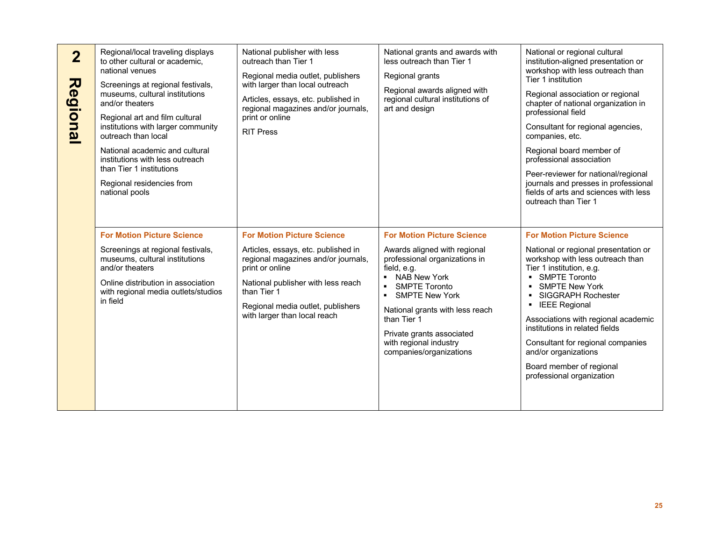| $\overline{2}$<br>Regiona | Regional/local traveling displays<br>to other cultural or academic,<br>national venues<br>Screenings at regional festivals,<br>museums, cultural institutions<br>and/or theaters<br>Regional art and film cultural<br>institutions with larger community<br>outreach than local<br>National academic and cultural<br>institutions with less outreach<br>than Tier 1 institutions<br>Regional residencies from<br>national pools | National publisher with less<br>outreach than Tier 1<br>Regional media outlet, publishers<br>with larger than local outreach<br>Articles, essays, etc. published in<br>regional magazines and/or journals,<br>print or online<br><b>RIT Press</b>            | National grants and awards with<br>less outreach than Tier 1<br>Regional grants<br>Regional awards aligned with<br>regional cultural institutions of<br>art and design                                                                                                                                                                                       | National or regional cultural<br>institution-aligned presentation or<br>workshop with less outreach than<br>Tier 1 institution<br>Regional association or regional<br>chapter of national organization in<br>professional field<br>Consultant for regional agencies,<br>companies, etc.<br>Regional board member of<br>professional association<br>Peer-reviewer for national/regional<br>journals and presses in professional<br>fields of arts and sciences with less<br>outreach than Tier 1 |
|---------------------------|---------------------------------------------------------------------------------------------------------------------------------------------------------------------------------------------------------------------------------------------------------------------------------------------------------------------------------------------------------------------------------------------------------------------------------|--------------------------------------------------------------------------------------------------------------------------------------------------------------------------------------------------------------------------------------------------------------|--------------------------------------------------------------------------------------------------------------------------------------------------------------------------------------------------------------------------------------------------------------------------------------------------------------------------------------------------------------|-------------------------------------------------------------------------------------------------------------------------------------------------------------------------------------------------------------------------------------------------------------------------------------------------------------------------------------------------------------------------------------------------------------------------------------------------------------------------------------------------|
|                           | <b>For Motion Picture Science</b><br>Screenings at regional festivals,<br>museums, cultural institutions<br>and/or theaters<br>Online distribution in association<br>with regional media outlets/studios<br>in field                                                                                                                                                                                                            | <b>For Motion Picture Science</b><br>Articles, essays, etc. published in<br>regional magazines and/or journals,<br>print or online<br>National publisher with less reach<br>than Tier 1<br>Regional media outlet, publishers<br>with larger than local reach | <b>For Motion Picture Science</b><br>Awards aligned with regional<br>professional organizations in<br>field, e.g.<br>• NAB New York<br><b>SMPTE Toronto</b><br>$\blacksquare$<br><b>SMPTE New York</b><br>$\blacksquare$<br>National grants with less reach<br>than Tier 1<br>Private grants associated<br>with regional industry<br>companies/organizations | <b>For Motion Picture Science</b><br>National or regional presentation or<br>workshop with less outreach than<br>Tier 1 institution, e.g.<br><b>SMPTE Toronto</b><br><b>SMPTE New York</b><br><b>SIGGRAPH Rochester</b><br><b>IEEE Regional</b><br>٠<br>Associations with regional academic<br>institutions in related fields<br>Consultant for regional companies<br>and/or organizations<br>Board member of regional<br>professional organization                                             |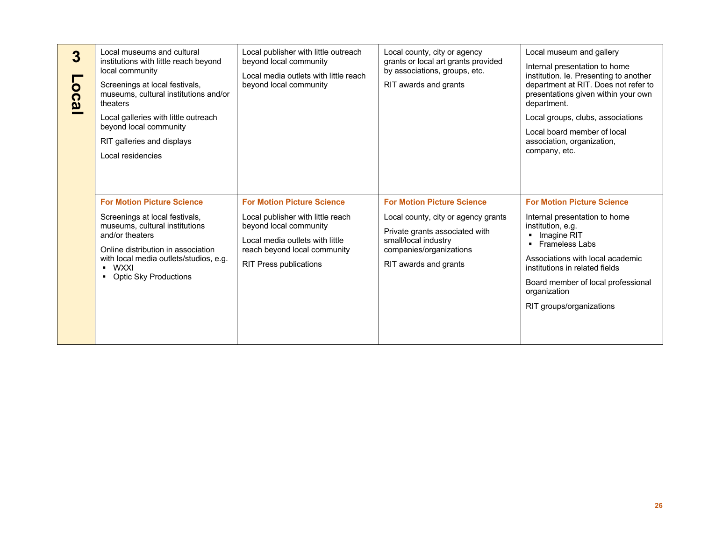| $\overline{3}$<br>0C3 | Local museums and cultural<br>institutions with little reach beyond<br>local community<br>Screenings at local festivals,<br>museums, cultural institutions and/or<br>theaters<br>Local galleries with little outreach<br>beyond local community<br>RIT galleries and displays<br>Local residencies | Local publisher with little outreach<br>beyond local community<br>Local media outlets with little reach<br>beyond local community                                                                    | Local county, city or agency<br>grants or local art grants provided<br>by associations, groups, etc.<br>RIT awards and grants                                                          | Local museum and gallery<br>Internal presentation to home<br>institution. le. Presenting to another<br>department at RIT. Does not refer to<br>presentations given within your own<br>department.<br>Local groups, clubs, associations<br>Local board member of local<br>association, organization,<br>company, etc. |
|-----------------------|----------------------------------------------------------------------------------------------------------------------------------------------------------------------------------------------------------------------------------------------------------------------------------------------------|------------------------------------------------------------------------------------------------------------------------------------------------------------------------------------------------------|----------------------------------------------------------------------------------------------------------------------------------------------------------------------------------------|----------------------------------------------------------------------------------------------------------------------------------------------------------------------------------------------------------------------------------------------------------------------------------------------------------------------|
|                       | <b>For Motion Picture Science</b><br>Screenings at local festivals,<br>museums, cultural institutions<br>and/or theaters<br>Online distribution in association<br>with local media outlets/studios, e.g.<br><b>WXXI</b><br>٠.<br><b>Optic Sky Productions</b><br>$\blacksquare$                    | <b>For Motion Picture Science</b><br>Local publisher with little reach<br>beyond local community<br>Local media outlets with little<br>reach beyond local community<br><b>RIT Press publications</b> | <b>For Motion Picture Science</b><br>Local county, city or agency grants<br>Private grants associated with<br>small/local industry<br>companies/organizations<br>RIT awards and grants | <b>For Motion Picture Science</b><br>Internal presentation to home<br>institution, e.g.<br>Imagine RIT<br><b>Frameless Labs</b><br>Associations with local academic<br>institutions in related fields<br>Board member of local professional<br>organization<br>RIT groups/organizations                              |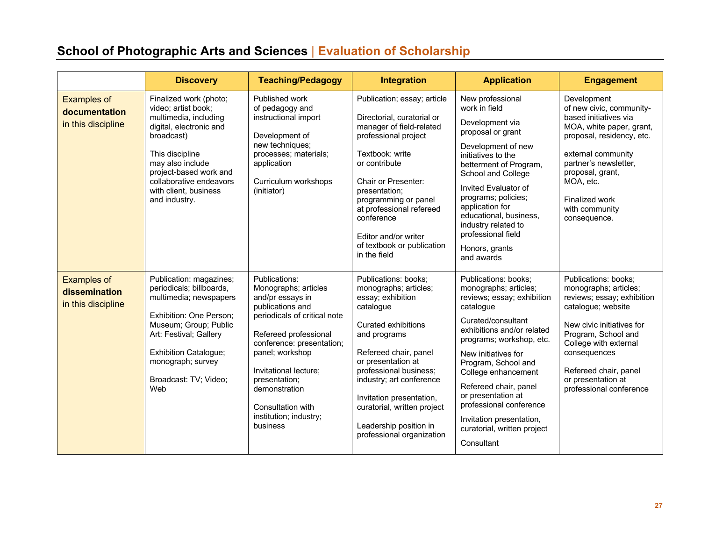# **School of Photographic Arts and Sciences** | **Evaluation of Scholarship**

|                                                           | <b>Discovery</b>                                                                                                                                                                                                                                      | <b>Teaching/Pedagogy</b>                                                                                                                                                                                                                                                                                     | <b>Integration</b>                                                                                                                                                                                                                                                                                                                                   | <b>Application</b>                                                                                                                                                                                                                                                                                                                                                                               | <b>Engagement</b>                                                                                                                                                                                                                                                        |
|-----------------------------------------------------------|-------------------------------------------------------------------------------------------------------------------------------------------------------------------------------------------------------------------------------------------------------|--------------------------------------------------------------------------------------------------------------------------------------------------------------------------------------------------------------------------------------------------------------------------------------------------------------|------------------------------------------------------------------------------------------------------------------------------------------------------------------------------------------------------------------------------------------------------------------------------------------------------------------------------------------------------|--------------------------------------------------------------------------------------------------------------------------------------------------------------------------------------------------------------------------------------------------------------------------------------------------------------------------------------------------------------------------------------------------|--------------------------------------------------------------------------------------------------------------------------------------------------------------------------------------------------------------------------------------------------------------------------|
| <b>Examples of</b><br>documentation<br>in this discipline | Finalized work (photo;<br>video; artist book;<br>multimedia, including<br>digital, electronic and<br>broadcast)<br>This discipline<br>may also include<br>project-based work and<br>collaborative endeavors<br>with client, business<br>and industry. | Published work<br>of pedagogy and<br>instructional import<br>Development of<br>new techniques;<br>processes; materials;<br>application<br>Curriculum workshops<br>(initiator)                                                                                                                                | Publication; essay; article<br>Directorial, curatorial or<br>manager of field-related<br>professional project<br>Textbook: write<br>or contribute<br>Chair or Presenter:<br>presentation;<br>programming or panel<br>at professional refereed<br>conference<br>Editor and/or writer<br>of textbook or publication<br>in the field                    | New professional<br>work in field<br>Development via<br>proposal or grant<br>Development of new<br>initiatives to the<br>betterment of Program,<br>School and College<br>Invited Evaluator of<br>programs; policies;<br>application for<br>educational, business,<br>industry related to<br>professional field<br>Honors, grants<br>and awards                                                   | Development<br>of new civic, community-<br>based initiatives via<br>MOA, white paper, grant,<br>proposal, residency, etc.<br>external community<br>partner's newsletter,<br>proposal, grant,<br>MOA, etc.<br>Finalized work<br>with community<br>consequence.            |
| <b>Examples of</b><br>dissemination<br>in this discipline | Publication: magazines;<br>periodicals; billboards,<br>multimedia; newspapers<br>Exhibition: One Person;<br>Museum; Group; Public<br>Art: Festival; Gallery<br><b>Exhibition Catalogue;</b><br>monograph; survey<br>Broadcast: TV; Video;<br>Web      | Publications:<br>Monographs; articles<br>and/pr essays in<br>publications and<br>periodicals of critical note<br>Refereed professional<br>conference: presentation;<br>panel; workshop<br>Invitational lecture;<br>presentation;<br>demonstration<br>Consultation with<br>institution; industry;<br>business | Publications: books:<br>monographs; articles;<br>essay; exhibition<br>catalogue<br><b>Curated exhibitions</b><br>and programs<br>Refereed chair, panel<br>or presentation at<br>professional business;<br>industry; art conference<br>Invitation presentation,<br>curatorial, written project<br>Leadership position in<br>professional organization | Publications: books:<br>monographs; articles;<br>reviews; essay; exhibition<br>catalogue<br>Curated/consultant<br>exhibitions and/or related<br>programs; workshop, etc.<br>New initiatives for<br>Program, School and<br>College enhancement<br>Refereed chair, panel<br>or presentation at<br>professional conference<br>Invitation presentation,<br>curatorial, written project<br>Consultant | Publications: books;<br>monographs; articles;<br>reviews; essay; exhibition<br>catalogue; website<br>New civic initiatives for<br>Program, School and<br>College with external<br>consequences<br>Refereed chair, panel<br>or presentation at<br>professional conference |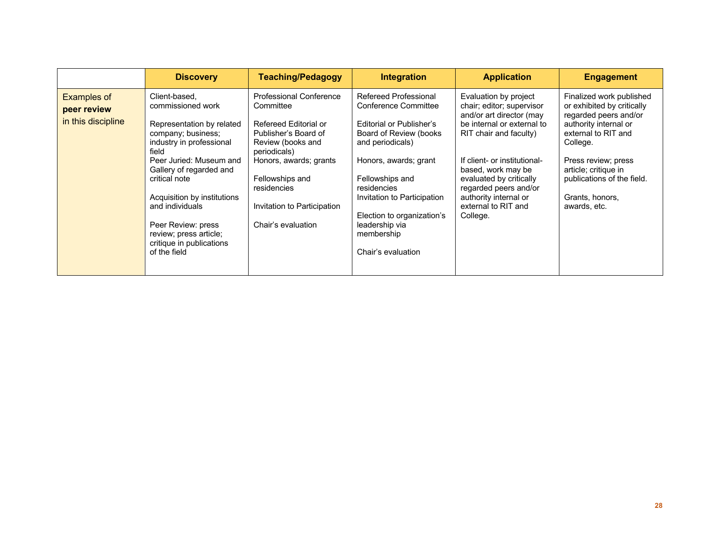|                                                         | <b>Discovery</b>                                                                                                                                                                                                                                                                                                                                | <b>Teaching/Pedagogy</b>                                                                                                                                                                                                                    | <b>Integration</b>                                                                                                                                                                                                                                                                                    | <b>Application</b>                                                                                                                                                                                                                                                                                           | <b>Engagement</b>                                                                                                                                                                                                                                           |
|---------------------------------------------------------|-------------------------------------------------------------------------------------------------------------------------------------------------------------------------------------------------------------------------------------------------------------------------------------------------------------------------------------------------|---------------------------------------------------------------------------------------------------------------------------------------------------------------------------------------------------------------------------------------------|-------------------------------------------------------------------------------------------------------------------------------------------------------------------------------------------------------------------------------------------------------------------------------------------------------|--------------------------------------------------------------------------------------------------------------------------------------------------------------------------------------------------------------------------------------------------------------------------------------------------------------|-------------------------------------------------------------------------------------------------------------------------------------------------------------------------------------------------------------------------------------------------------------|
| <b>Examples of</b><br>peer review<br>in this discipline | Client-based,<br>commissioned work<br>Representation by related<br>company; business;<br>industry in professional<br>field<br>Peer Juried: Museum and<br>Gallery of regarded and<br>critical note<br>Acquisition by institutions<br>and individuals<br>Peer Review: press<br>review; press article;<br>critique in publications<br>of the field | Professional Conference<br>Committee<br>Refereed Editorial or<br>Publisher's Board of<br>Review (books and<br>periodicals)<br>Honors, awards; grants<br>Fellowships and<br>residencies<br>Invitation to Participation<br>Chair's evaluation | Refereed Professional<br>Conference Committee<br>Editorial or Publisher's<br>Board of Review (books<br>and periodicals)<br>Honors, awards; grant<br>Fellowships and<br>residencies<br>Invitation to Participation<br>Election to organization's<br>leadership via<br>membership<br>Chair's evaluation | Evaluation by project<br>chair; editor; supervisor<br>and/or art director (may<br>be internal or external to<br>RIT chair and faculty)<br>If client- or institutional-<br>based, work may be<br>evaluated by critically<br>regarded peers and/or<br>authority internal or<br>external to RIT and<br>College. | Finalized work published<br>or exhibited by critically<br>regarded peers and/or<br>authority internal or<br>external to RIT and<br>College.<br>Press review; press<br>article; critique in<br>publications of the field.<br>Grants, honors,<br>awards, etc. |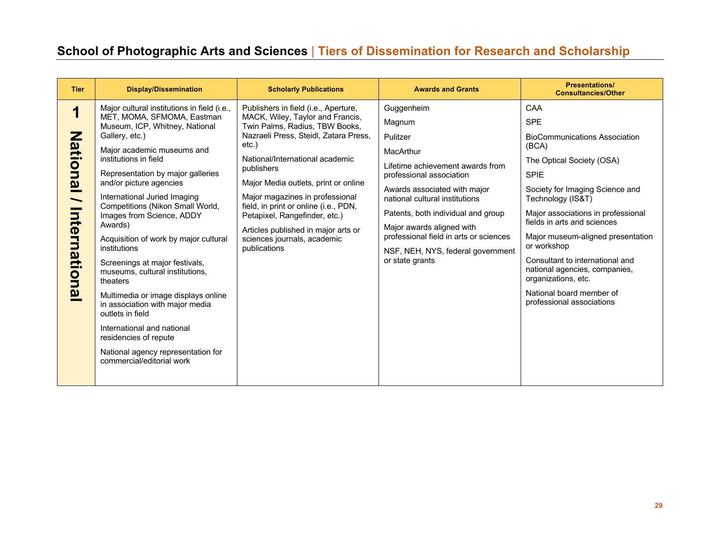# **School of Photographic Arts and Sciences** | **Tiers of Dissemination for Research and Scholarship**

| <b>Tier</b>                                                    | <b>Display/Dissemination</b>                                                                                                                                                                                                                                                                                                                                                                                                                                                                                                                                                                                                                                                                                                       | <b>Scholarly Publications</b>                                                                                                                                                                                                                                                                                                                                                                                                                               | <b>Awards and Grants</b>                                                                                                                                                                                                                                                                                                                             | <b>Presentations/</b><br><b>Consultancies/Other</b>                                                                                                                                                                                                                                                                                                                                                                                                 |
|----------------------------------------------------------------|------------------------------------------------------------------------------------------------------------------------------------------------------------------------------------------------------------------------------------------------------------------------------------------------------------------------------------------------------------------------------------------------------------------------------------------------------------------------------------------------------------------------------------------------------------------------------------------------------------------------------------------------------------------------------------------------------------------------------------|-------------------------------------------------------------------------------------------------------------------------------------------------------------------------------------------------------------------------------------------------------------------------------------------------------------------------------------------------------------------------------------------------------------------------------------------------------------|------------------------------------------------------------------------------------------------------------------------------------------------------------------------------------------------------------------------------------------------------------------------------------------------------------------------------------------------------|-----------------------------------------------------------------------------------------------------------------------------------------------------------------------------------------------------------------------------------------------------------------------------------------------------------------------------------------------------------------------------------------------------------------------------------------------------|
| 1<br>Z<br>ational<br>$\overline{\phantom{0}}$<br>International | Major cultural institutions in field (i.e.,<br>MET, MOMA, SFMOMA, Eastman<br>Museum, ICP, Whitney, National<br>Gallery, etc.)<br>Major academic museums and<br>institutions in field<br>Representation by major galleries<br>and/or picture agencies<br>International Juried Imaging<br>Competitions (Nikon Small World,<br>Images from Science, ADDY<br>Awards)<br>Acquisition of work by major cultural<br>institutions<br>Screenings at major festivals,<br>museums, cultural institutions,<br>theaters<br>Multimedia or image displays online<br>in association with major media<br>outlets in field<br>International and national<br>residencies of repute<br>National agency representation for<br>commercial/editorial work | Publishers in field (i.e., Aperture,<br>MACK, Wiley, Taylor and Francis,<br>Twin Palms, Radius, TBW Books,<br>Nazraeli Press, Steidl, Zatara Press,<br>$etc.$ )<br>National/International academic<br>publishers<br>Major Media outlets, print or online<br>Major magazines in professional<br>field, in print or online (i.e., PDN,<br>Petapixel, Rangefinder, etc.)<br>Articles published in major arts or<br>sciences journals, academic<br>publications | Guggenheim<br>Magnum<br>Pulitzer<br>MacArthur<br>Lifetime achievement awards from<br>professional association<br>Awards associated with major<br>national cultural institutions<br>Patents, both individual and group<br>Major awards aligned with<br>professional field in arts or sciences<br>NSF, NEH, NYS, federal government<br>or state grants | CAA<br><b>SPE</b><br><b>BioCommunications Association</b><br>(BCA)<br>The Optical Society (OSA)<br><b>SPIE</b><br>Society for Imaging Science and<br>Technology (IS&T)<br>Major associations in professional<br>fields in arts and sciences<br>Major museum-aligned presentation<br>or workshop<br>Consultant to international and<br>national agencies, companies,<br>organizations, etc.<br>National board member of<br>professional associations |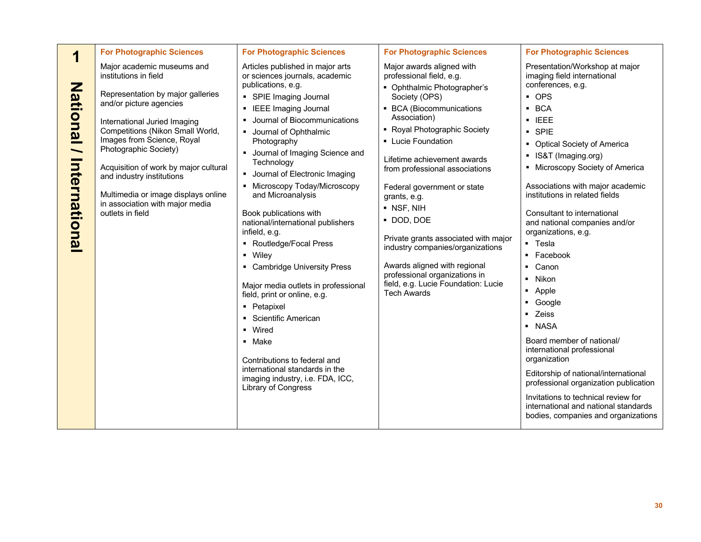| Major academic museums and<br>Articles published in major arts<br>Major awards aligned with<br>Presentation/Workshop at major<br>institutions in field<br>or sciences journals, academic<br>professional field, e.g.<br>imaging field international<br>publications, e.g.<br>conferences, e.g.<br><b>Nati</b><br>• Ophthalmic Photographer's<br>Representation by major galleries<br>• OPS<br>• SPIE Imaging Journal<br>Society (OPS)<br>and/or picture agencies<br>• BCA (Biocommunications<br>$-BCA$<br>• IEEE Imaging Journal<br>Association)<br>• Journal of Biocommunications<br>$\blacksquare$ IEEE<br>International Juried Imaging<br>• Royal Photographic Society<br>Competitions (Nikon Small World,<br>· SPIE<br>• Journal of Ophthalmic<br>Images from Science, Royal<br>• Lucie Foundation<br>Photography<br>• Optical Society of America<br>Photographic Society)<br>Journal of Imaging Science and<br>• IS&T (Imaging.org)<br>Lifetime achievement awards<br>Internati<br>Technology<br>Acquisition of work by major cultural<br>• Microscopy Society of America<br>from professional associations<br>Journal of Electronic Imaging<br>and industry institutions<br>• Microscopy Today/Microscopy<br>Associations with major academic<br>Federal government or state<br>institutions in related fields<br>Multimedia or image displays online<br>and Microanalysis<br>grants, e.g.<br>in association with major media<br>• NSF, NIH<br>outlets in field<br>Book publications with<br>Consultant to international<br>DOD, DOE<br>national/international publishers<br>and national companies and/or<br><b>iona</b><br>infield, e.g.<br>organizations, e.g.<br>Private grants associated with major<br>• Routledge/Focal Press<br>• Tesla<br>industry companies/organizations<br>• Wiley<br>Facebook<br>٠<br>Awards aligned with regional<br>• Cambridge University Press<br>Canon<br>professional organizations in<br>Nikon<br>٠<br>field, e.g. Lucie Foundation: Lucie<br>Major media outlets in professional<br>Apple<br>٠<br><b>Tech Awards</b><br>field, print or online, e.g.<br>Google<br>٠<br>• Petapixel<br>• Zeiss<br>• Scientific American<br>- NASA<br>• Wired<br>Board member of national/<br>• Make<br>international professional<br>organization<br>Contributions to federal and<br>international standards in the<br>Editorship of national/international<br>imaging industry, i.e. FDA, ICC,<br>professional organization publication<br>Library of Congress<br>Invitations to technical review for<br>international and national standards | <b>ional</b><br>bodies, companies and organizations | <b>For Photographic Sciences</b> | <b>For Photographic Sciences</b> | <b>For Photographic Sciences</b> | <b>For Photographic Sciences</b> |
|--------------------------------------------------------------------------------------------------------------------------------------------------------------------------------------------------------------------------------------------------------------------------------------------------------------------------------------------------------------------------------------------------------------------------------------------------------------------------------------------------------------------------------------------------------------------------------------------------------------------------------------------------------------------------------------------------------------------------------------------------------------------------------------------------------------------------------------------------------------------------------------------------------------------------------------------------------------------------------------------------------------------------------------------------------------------------------------------------------------------------------------------------------------------------------------------------------------------------------------------------------------------------------------------------------------------------------------------------------------------------------------------------------------------------------------------------------------------------------------------------------------------------------------------------------------------------------------------------------------------------------------------------------------------------------------------------------------------------------------------------------------------------------------------------------------------------------------------------------------------------------------------------------------------------------------------------------------------------------------------------------------------------------------------------------------------------------------------------------------------------------------------------------------------------------------------------------------------------------------------------------------------------------------------------------------------------------------------------------------------------------------------------------------------------------------------------------------------------------------------------------------------------------------------------------------------------|-----------------------------------------------------|----------------------------------|----------------------------------|----------------------------------|----------------------------------|
|                                                                                                                                                                                                                                                                                                                                                                                                                                                                                                                                                                                                                                                                                                                                                                                                                                                                                                                                                                                                                                                                                                                                                                                                                                                                                                                                                                                                                                                                                                                                                                                                                                                                                                                                                                                                                                                                                                                                                                                                                                                                                                                                                                                                                                                                                                                                                                                                                                                                                                                                                                          |                                                     |                                  |                                  |                                  |                                  |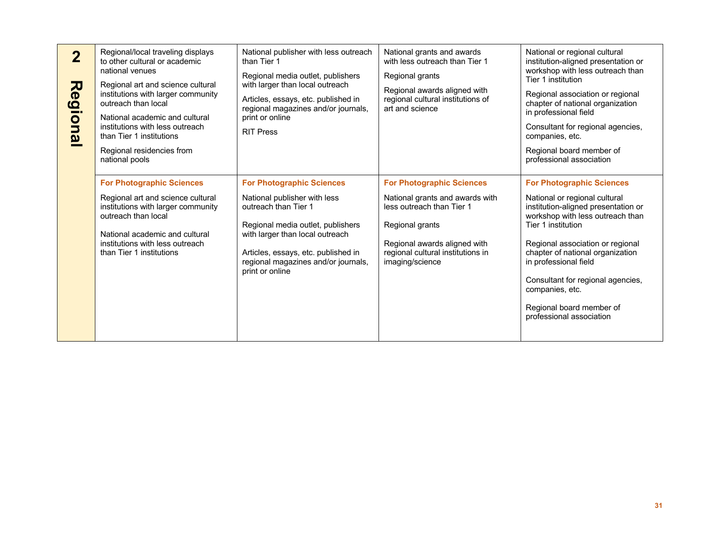| $\overline{2}$<br>Regional | Regional/local traveling displays<br>to other cultural or academic<br>national venues<br>Regional art and science cultural<br>institutions with larger community<br>outreach than local<br>National academic and cultural<br>institutions with less outreach<br>than Tier 1 institutions<br>Regional residencies from<br>national pools | National publisher with less outreach<br>than Tier 1<br>Regional media outlet, publishers<br>with larger than local outreach<br>Articles, essays, etc. published in<br>regional magazines and/or journals,<br>print or online<br><b>RIT Press</b> | National grants and awards<br>with less outreach than Tier 1<br>Regional grants<br>Regional awards aligned with<br>regional cultural institutions of<br>art and science | National or regional cultural<br>institution-aligned presentation or<br>workshop with less outreach than<br>Tier 1 institution<br>Regional association or regional<br>chapter of national organization<br>in professional field<br>Consultant for regional agencies,<br>companies, etc.<br>Regional board member of<br>professional association |
|----------------------------|-----------------------------------------------------------------------------------------------------------------------------------------------------------------------------------------------------------------------------------------------------------------------------------------------------------------------------------------|---------------------------------------------------------------------------------------------------------------------------------------------------------------------------------------------------------------------------------------------------|-------------------------------------------------------------------------------------------------------------------------------------------------------------------------|-------------------------------------------------------------------------------------------------------------------------------------------------------------------------------------------------------------------------------------------------------------------------------------------------------------------------------------------------|
|                            | <b>For Photographic Sciences</b>                                                                                                                                                                                                                                                                                                        | <b>For Photographic Sciences</b>                                                                                                                                                                                                                  | <b>For Photographic Sciences</b>                                                                                                                                        | <b>For Photographic Sciences</b>                                                                                                                                                                                                                                                                                                                |
|                            | Regional art and science cultural<br>institutions with larger community<br>outreach than local<br>National academic and cultural<br>institutions with less outreach<br>than Tier 1 institutions                                                                                                                                         | National publisher with less<br>outreach than Tier 1<br>Regional media outlet, publishers<br>with larger than local outreach<br>Articles, essays, etc. published in<br>regional magazines and/or journals,<br>print or online                     | National grants and awards with<br>less outreach than Tier 1<br>Regional grants<br>Regional awards aligned with<br>regional cultural institutions in<br>imaging/science | National or regional cultural<br>institution-aligned presentation or<br>workshop with less outreach than<br>Tier 1 institution<br>Regional association or regional<br>chapter of national organization<br>in professional field<br>Consultant for regional agencies,<br>companies, etc.<br>Regional board member of<br>professional association |